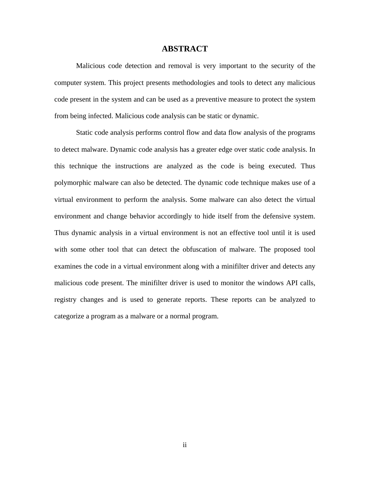#### **ABSTRACT**

Malicious code detection and removal is very important to the security of the computer system. This project presents methodologies and tools to detect any malicious code present in the system and can be used as a preventive measure to protect the system from being infected. Malicious code analysis can be static or dynamic.

Static code analysis performs control flow and data flow analysis of the programs to detect malware. Dynamic code analysis has a greater edge over static code analysis. In this technique the instructions are analyzed as the code is being executed. Thus polymorphic malware can also be detected. The dynamic code technique makes use of a virtual environment to perform the analysis. Some malware can also detect the virtual environment and change behavior accordingly to hide itself from the defensive system. Thus dynamic analysis in a virtual environment is not an effective tool until it is used with some other tool that can detect the obfuscation of malware. The proposed tool examines the code in a virtual environment along with a minifilter driver and detects any malicious code present. The minifilter driver is used to monitor the windows API calls, registry changes and is used to generate reports. These reports can be analyzed to categorize a program as a malware or a normal program.

ii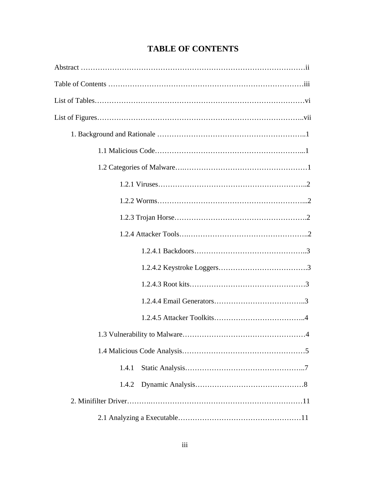| $\overline{A}$ |
|----------------|
|                |
| 1.4.1          |
| 1.4.2          |
|                |
|                |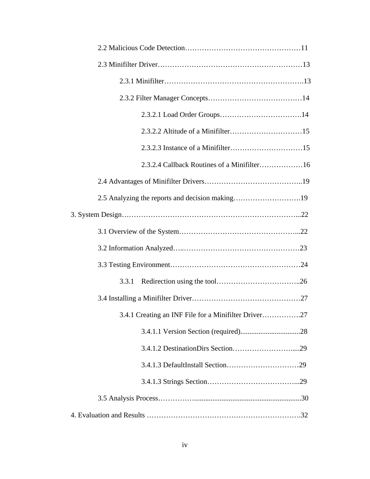| 2.3.2.4 Callback Routines of a Minifilter16          |
|------------------------------------------------------|
|                                                      |
|                                                      |
|                                                      |
|                                                      |
|                                                      |
|                                                      |
| 3.3.1                                                |
|                                                      |
| 3.4.1 Creating an INF File for a Minifilter Driver27 |
|                                                      |
|                                                      |
|                                                      |
|                                                      |
|                                                      |
|                                                      |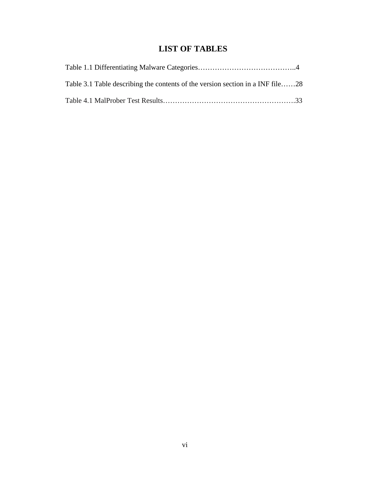# **LIST OF TABLES**

| Table 3.1 Table describing the contents of the version section in a INF file28 |  |
|--------------------------------------------------------------------------------|--|
|                                                                                |  |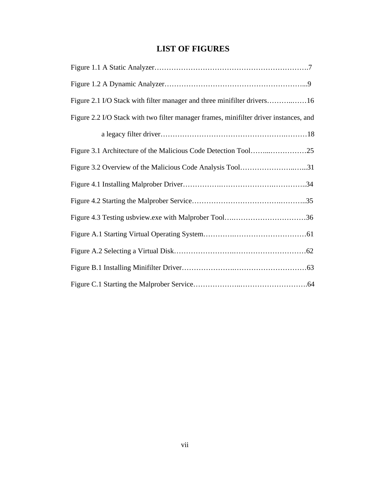# **LIST OF FIGURES**

| Figure 2.1 I/O Stack with filter manager and three minifilter drivers16               |
|---------------------------------------------------------------------------------------|
| Figure 2.2 I/O Stack with two filter manager frames, minifilter driver instances, and |
|                                                                                       |
|                                                                                       |
| Figure 3.2 Overview of the Malicious Code Analysis Tool31                             |
|                                                                                       |
|                                                                                       |
|                                                                                       |
|                                                                                       |
|                                                                                       |
|                                                                                       |
|                                                                                       |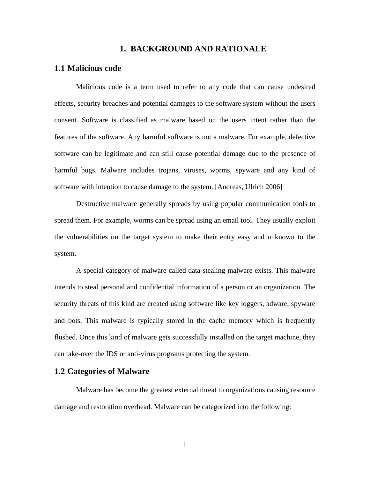#### **1. BACKGROUND AND RATIONALE**

# **1.1 Malicious code**

Malicious code is a term used to refer to any code that can cause undesired effects, security breaches and potential damages to the software system without the users consent. Software is classified as malware based on the users intent rather than the features of the software. Any harmful software is not a malware. For example, defective software can be legitimate and can still cause potential damage due to the presence of harmful bugs. Malware includes trojans, viruses, worms, spyware and any kind of software with intention to cause damage to the system. [Andreas, Ulrich 2006]

Destructive malware generally spreads by using popular communication tools to spread them. For example, worms can be spread using an email tool. They usually exploit the vulnerabilities on the target system to make their entry easy and unknown to the system.

A special category of malware called data-stealing malware exists. This malware intends to steal personal and confidential information of a person or an organization. The security threats of this kind are created using software like key loggers, adware, spyware and bots. This malware is typically stored in the cache memory which is frequently flushed. Once this kind of malware gets successfully installed on the target machine, they can take-over the IDS or anti-virus programs protecting the system.

# **1.2 Categories of Malware**

Malware has become the greatest external threat to organizations causing resource damage and restoration overhead. Malware can be categorized into the following: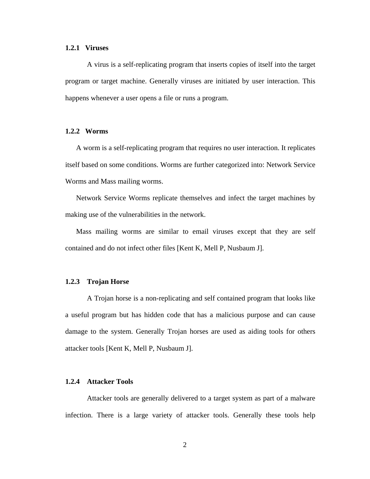#### **1.2.1 Viruses**

A virus is a self-replicating program that inserts copies of itself into the target program or target machine. Generally viruses are initiated by user interaction. This happens whenever a user opens a file or runs a program.

#### **1.2.2 Worms**

A worm is a self-replicating program that requires no user interaction. It replicates itself based on some conditions. Worms are further categorized into: Network Service Worms and Mass mailing worms.

Network Service Worms replicate themselves and infect the target machines by making use of the vulnerabilities in the network.

Mass mailing worms are similar to email viruses except that they are self contained and do not infect other files [Kent K, Mell P, Nusbaum J].

#### **1.2.3 Trojan Horse**

A Trojan horse is a non-replicating and self contained program that looks like a useful program but has hidden code that has a malicious purpose and can cause damage to the system. Generally Trojan horses are used as aiding tools for others attacker tools [Kent K, Mell P, Nusbaum J].

#### **1.2.4 Attacker Tools**

Attacker tools are generally delivered to a target system as part of a malware infection. There is a large variety of attacker tools. Generally these tools help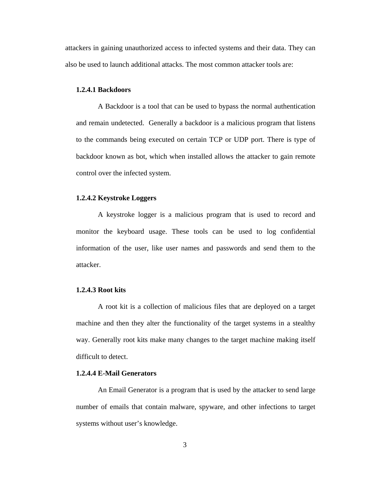attackers in gaining unauthorized access to infected systems and their data. They can also be used to launch additional attacks. The most common attacker tools are:

## **1.2.4.1 Backdoors**

A Backdoor is a tool that can be used to bypass the normal authentication and remain undetected. Generally a backdoor is a malicious program that listens to the commands being executed on certain TCP or UDP port. There is type of backdoor known as bot, which when installed allows the attacker to gain remote control over the infected system.

#### **1.2.4.2 Keystroke Loggers**

A keystroke logger is a malicious program that is used to record and monitor the keyboard usage. These tools can be used to log confidential information of the user, like user names and passwords and send them to the attacker.

## **1.2.4.3 Root kits**

A root kit is a collection of malicious files that are deployed on a target machine and then they alter the functionality of the target systems in a stealthy way. Generally root kits make many changes to the target machine making itself difficult to detect.

## **1.2.4.4 E-Mail Generators**

An Email Generator is a program that is used by the attacker to send large number of emails that contain malware, spyware, and other infections to target systems without user's knowledge.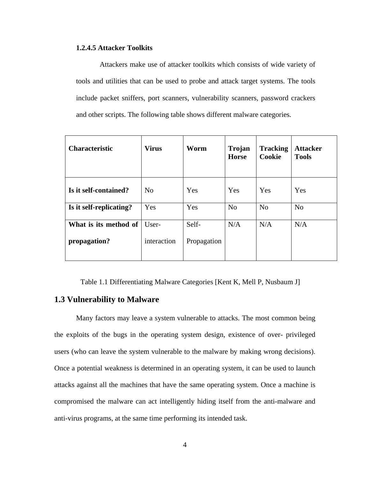#### **1.2.4.5 Attacker Toolkits**

 Attackers make use of attacker toolkits which consists of wide variety of tools and utilities that can be used to probe and attack target systems. The tools include packet sniffers, port scanners, vulnerability scanners, password crackers and other scripts. The following table shows different malware categories.

| <b>Characteristic</b>                 | <b>Virus</b>         | Worm                 | <b>Trojan</b><br><b>Horse</b> | <b>Tracking</b><br><b>Cookie</b> | <b>Attacker</b><br><b>Tools</b> |
|---------------------------------------|----------------------|----------------------|-------------------------------|----------------------------------|---------------------------------|
| Is it self-contained?                 | N <sub>o</sub>       | Yes                  | Yes                           | Yes                              | Yes                             |
| Is it self-replicating?               | Yes                  | Yes                  | N <sub>o</sub>                | N <sub>o</sub>                   | N <sub>o</sub>                  |
| What is its method of<br>propagation? | User-<br>interaction | Self-<br>Propagation | N/A                           | N/A                              | N/A                             |

Table 1.1 Differentiating Malware Categories [Kent K, Mell P, Nusbaum J]

# **1.3 Vulnerability to Malware**

Many factors may leave a system vulnerable to attacks. The most common being the exploits of the bugs in the operating system design, existence of over- privileged users (who can leave the system vulnerable to the malware by making wrong decisions). Once a potential weakness is determined in an operating system, it can be used to launch attacks against all the machines that have the same operating system. Once a machine is compromised the malware can act intelligently hiding itself from the anti-malware and anti-virus programs, at the same time performing its intended task.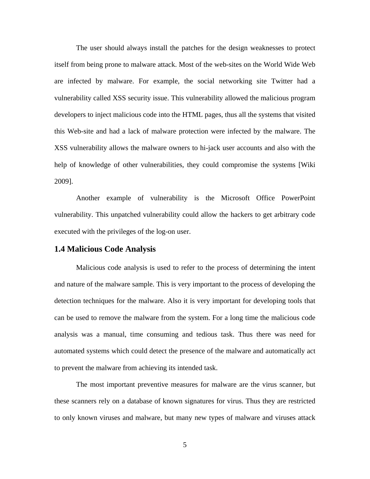The user should always install the patches for the design weaknesses to protect itself from being prone to malware attack. Most of the web-sites on the World Wide Web are infected by malware. For example, the social networking site Twitter had a vulnerability called XSS security issue. This vulnerability allowed the malicious program developers to inject malicious code into the HTML pages, thus all the systems that visited this Web-site and had a lack of malware protection were infected by the malware. The XSS vulnerability allows the malware owners to hi-jack user accounts and also with the help of knowledge of other vulnerabilities, they could compromise the systems [Wiki 2009].

Another example of vulnerability is the Microsoft Office PowerPoint vulnerability. This unpatched vulnerability could allow the hackers to get arbitrary code executed with the privileges of the log-on user.

### **1.4 Malicious Code Analysis**

Malicious code analysis is used to refer to the process of determining the intent and nature of the malware sample. This is very important to the process of developing the detection techniques for the malware. Also it is very important for developing tools that can be used to remove the malware from the system. For a long time the malicious code analysis was a manual, time consuming and tedious task. Thus there was need for automated systems which could detect the presence of the malware and automatically act to prevent the malware from achieving its intended task.

The most important preventive measures for malware are the virus scanner, but these scanners rely on a database of known signatures for virus. Thus they are restricted to only known viruses and malware, but many new types of malware and viruses attack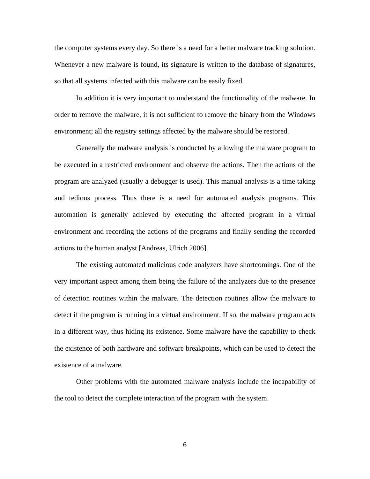the computer systems every day. So there is a need for a better malware tracking solution. Whenever a new malware is found, its signature is written to the database of signatures, so that all systems infected with this malware can be easily fixed.

In addition it is very important to understand the functionality of the malware. In order to remove the malware, it is not sufficient to remove the binary from the Windows environment; all the registry settings affected by the malware should be restored.

Generally the malware analysis is conducted by allowing the malware program to be executed in a restricted environment and observe the actions. Then the actions of the program are analyzed (usually a debugger is used). This manual analysis is a time taking and tedious process. Thus there is a need for automated analysis programs. This automation is generally achieved by executing the affected program in a virtual environment and recording the actions of the programs and finally sending the recorded actions to the human analyst [Andreas, Ulrich 2006].

The existing automated malicious code analyzers have shortcomings. One of the very important aspect among them being the failure of the analyzers due to the presence of detection routines within the malware. The detection routines allow the malware to detect if the program is running in a virtual environment. If so, the malware program acts in a different way, thus hiding its existence. Some malware have the capability to check the existence of both hardware and software breakpoints, which can be used to detect the existence of a malware.

Other problems with the automated malware analysis include the incapability of the tool to detect the complete interaction of the program with the system.

6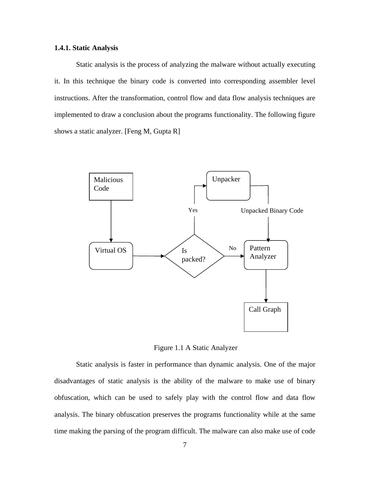#### **1.4.1. Static Analysis**

Static analysis is the process of analyzing the malware without actually executing it. In this technique the binary code is converted into corresponding assembler level instructions. After the transformation, control flow and data flow analysis techniques are implemented to draw a conclusion about the programs functionality. The following figure shows a static analyzer. [Feng M, Gupta R]



Figure 1.1 A Static Analyzer

Static analysis is faster in performance than dynamic analysis. One of the major disadvantages of static analysis is the ability of the malware to make use of binary obfuscation, which can be used to safely play with the control flow and data flow analysis. The binary obfuscation preserves the programs functionality while at the same time making the parsing of the program difficult. The malware can also make use of code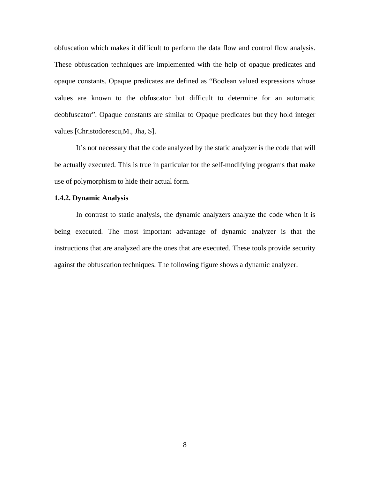obfuscation which makes it difficult to perform the data flow and control flow analysis. These obfuscation techniques are implemented with the help of opaque predicates and opaque constants. Opaque predicates are defined as "Boolean valued expressions whose values are known to the obfuscator but difficult to determine for an automatic deobfuscator". Opaque constants are similar to Opaque predicates but they hold integer values [Christodorescu,M., Jha, S].

It's not necessary that the code analyzed by the static analyzer is the code that will be actually executed. This is true in particular for the self-modifying programs that make use of polymorphism to hide their actual form.

#### **1.4.2. Dynamic Analysis**

In contrast to static analysis, the dynamic analyzers analyze the code when it is being executed. The most important advantage of dynamic analyzer is that the instructions that are analyzed are the ones that are executed. These tools provide security against the obfuscation techniques. The following figure shows a dynamic analyzer.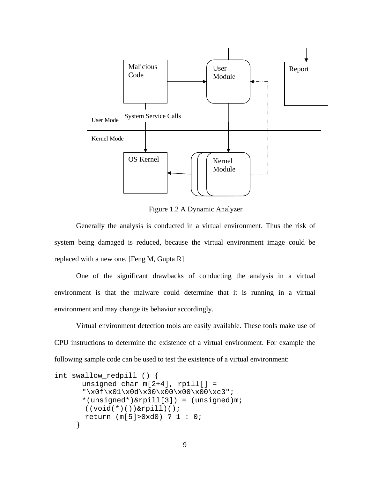

Figure 1.2 A Dynamic Analyzer

Generally the analysis is conducted in a virtual environment. Thus the risk of system being damaged is reduced, because the virtual environment image could be replaced with a new one. [Feng M, Gupta R]

One of the significant drawbacks of conducting the analysis in a virtual environment is that the malware could determine that it is running in a virtual environment and may change its behavior accordingly.

Virtual environment detection tools are easily available. These tools make use of CPU instructions to determine the existence of a virtual environment. For example the following sample code can be used to test the existence of a virtual environment:

```
int swallow_redpill () { 
      unsigned char m[2+4], rpill[] ="\x0f\x01\x0d\x00\x00\x00\x00\xc3"; 
       *(unsigned*)&rpill[3]) = (unsigned)m; 
        ((void(*)())&rpill)(); 
        return (m[5]>0xd0) ? 1 : 0; 
      }
```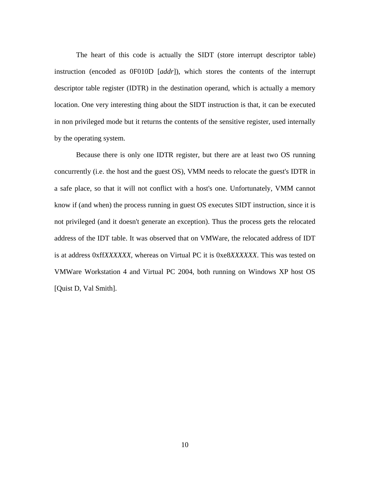The heart of this code is actually the SIDT (store interrupt descriptor table) instruction (encoded as 0F010D [*addr*]), which stores the contents of the interrupt descriptor table register (IDTR) in the destination operand, which is actually a memory location. One very interesting thing about the SIDT instruction is that, it can be executed in non privileged mode but it returns the contents of the sensitive register, used internally by the operating system.

Because there is only one IDTR register, but there are at least two OS running concurrently (i.e. the host and the guest OS), VMM needs to relocate the guest's IDTR in a safe place, so that it will not conflict with a host's one. Unfortunately, VMM cannot know if (and when) the process running in guest OS executes SIDT instruction, since it is not privileged (and it doesn't generate an exception). Thus the process gets the relocated address of the IDT table. It was observed that on VMWare, the relocated address of IDT is at address 0xff*XXXXXX*, whereas on Virtual PC it is 0xe8*XXXXXX*. This was tested on VMWare Workstation 4 and Virtual PC 2004, both running on Windows XP host OS [Quist D, Val Smith].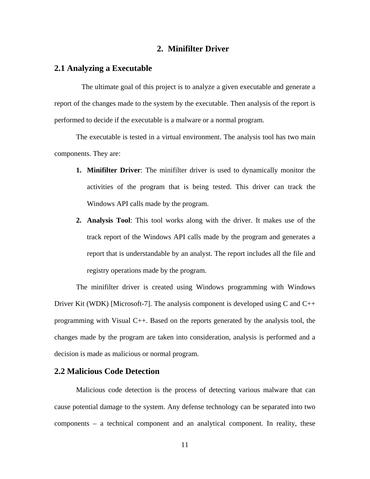# **2. Minifilter Driver**

## **2.1 Analyzing a Executable**

The ultimate goal of this project is to analyze a given executable and generate a report of the changes made to the system by the executable. Then analysis of the report is performed to decide if the executable is a malware or a normal program.

The executable is tested in a virtual environment. The analysis tool has two main components. They are:

- **1. Minifilter Driver**: The minifilter driver is used to dynamically monitor the activities of the program that is being tested. This driver can track the Windows API calls made by the program.
- **2. Analysis Tool**: This tool works along with the driver. It makes use of the track report of the Windows API calls made by the program and generates a report that is understandable by an analyst. The report includes all the file and registry operations made by the program.

The minifilter driver is created using Windows programming with Windows Driver Kit (WDK) [Microsoft-7]. The analysis component is developed using  $C$  and  $C++$ programming with Visual C++. Based on the reports generated by the analysis tool, the changes made by the program are taken into consideration, analysis is performed and a decision is made as malicious or normal program.

# **2.2 Malicious Code Detection**

Malicious code detection is the process of detecting various malware that can cause potential damage to the system. Any defense technology can be separated into two components – a technical component and an analytical component. In reality, these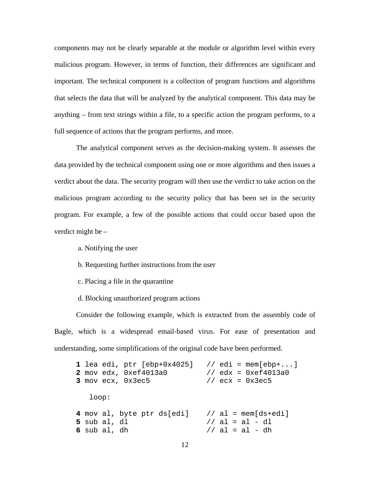components may not be clearly separable at the module or algorithm level within every malicious program. However, in terms of function, their differences are significant and important. The technical component is a collection of program functions and algorithms that selects the data that will be analyzed by the analytical component. This data may be anything – from text strings within a file, to a specific action the program performs, to a full sequence of actions that the program performs, and more.

The analytical component serves as the decision-making system. It assesses the data provided by the technical component using one or more algorithms and then issues a verdict about the data. The security program will then use the verdict to take action on the malicious program according to the security policy that has been set in the security program. For example, a few of the possible actions that could occur based upon the verdict might be –

a. Notifying the user

- b. Requesting further instructions from the user
- c. Placing a file in the quarantine
- d. Blocking unauthorized program actions

Consider the following example, which is extracted from the assembly code of Bagle, which is a widespread email-based virus. For ease of presentation and understanding, some simplifications of the original code have been performed.

```
1 lea edi, ptr [ebp+0x4025] // edi = mem[ebp+...] 
2 mov edx, 0xef4013a0 // edx = 0xef4013a0 
3 mov ecx, 0x3ec5 // ecx = 0x3ec5 
   loop: 
4 mov al, byte ptr ds[edi] // al = mem[ds+edi] 
5 sub al, dl // al = al - dl 
6 sub al, dh \frac{1}{4} // al = al - dh
```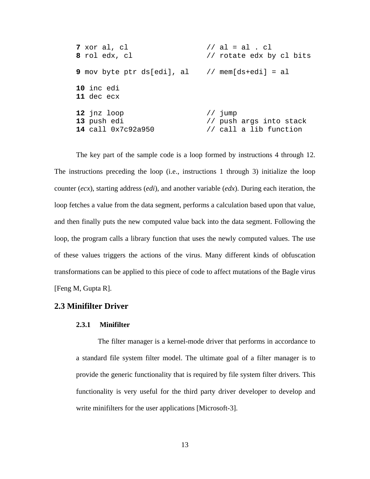| 7 xor al, cl                                                  | // al = al . cl          |
|---------------------------------------------------------------|--------------------------|
| 8 rol edx, cl                                                 | // rotate edx by cl bits |
| <b>9</b> mov byte ptr ds[edi], al $\quad$ // mem[ds+edi] = al |                          |
| 10 inc edi<br><b>11</b> dec ecx                               |                          |
| 12 jnz loop                                                   | // jump                  |
| 13 push edi                                                   | // push args into stack  |
| 14 call 0x7c92a950                                            | // call a lib function   |

The key part of the sample code is a loop formed by instructions 4 through 12. The instructions preceding the loop (i.e., instructions 1 through 3) initialize the loop counter (*ecx*), starting address (*edi*), and another variable (*edx*). During each iteration, the loop fetches a value from the data segment, performs a calculation based upon that value, and then finally puts the new computed value back into the data segment. Following the loop, the program calls a library function that uses the newly computed values. The use of these values triggers the actions of the virus. Many different kinds of obfuscation transformations can be applied to this piece of code to affect mutations of the Bagle virus [Feng M, Gupta R].

# **2.3 Minifilter Driver**

#### **2.3.1 Minifilter**

The filter manager is a kernel-mode driver that performs in accordance to a standard file system filter model. The ultimate goal of a filter manager is to provide the generic functionality that is required by file system filter drivers. This functionality is very useful for the third party driver developer to develop and write minifilters for the user applications [Microsoft-3].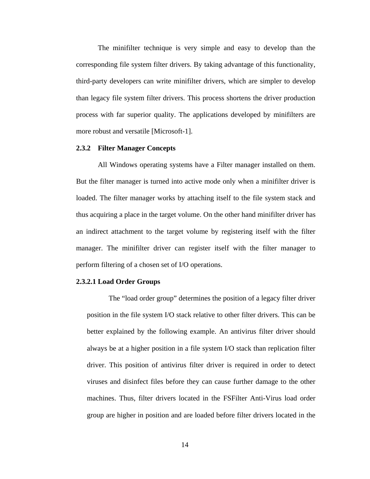The minifilter technique is very simple and easy to develop than the corresponding file system filter drivers. By taking advantage of this functionality, third-party developers can write minifilter drivers, which are simpler to develop than legacy file system filter drivers. This process shortens the driver production process with far superior quality. The applications developed by minifilters are more robust and versatile [Microsoft-1].

#### **2.3.2 Filter Manager Concepts**

All Windows operating systems have a Filter manager installed on them. But the filter manager is turned into active mode only when a minifilter driver is loaded. The filter manager works by attaching itself to the file system stack and thus acquiring a place in the target volume. On the other hand minifilter driver has an indirect attachment to the target volume by registering itself with the filter manager. The minifilter driver can register itself with the filter manager to perform filtering of a chosen set of I/O operations.

#### **2.3.2.1 Load Order Groups**

The "load order group" determines the position of a legacy filter driver position in the file system I/O stack relative to other filter drivers. This can be better explained by the following example. An antivirus filter driver should always be at a higher position in a file system I/O stack than replication filter driver. This position of antivirus filter driver is required in order to detect viruses and disinfect files before they can cause further damage to the other machines. Thus, filter drivers located in the FSFilter Anti-Virus load order group are higher in position and are loaded before filter drivers located in the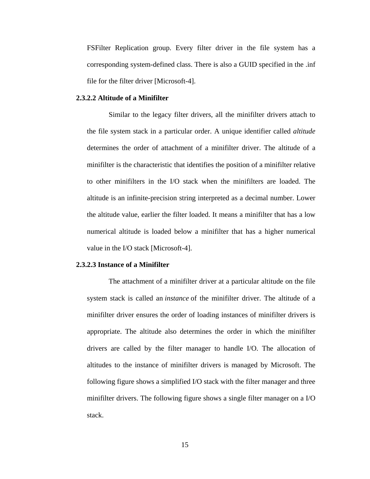FSFilter Replication group. Every filter driver in the file system has a corresponding system-defined class. There is also a GUID specified in the .inf file for the filter driver [Microsoft-4].

#### **2.3.2.2 Altitude of a Minifilter**

Similar to the legacy filter drivers, all the minifilter drivers attach to the file system stack in a particular order. A unique identifier called *altitude* determines the order of attachment of a minifilter driver. The altitude of a minifilter is the characteristic that identifies the position of a minifilter relative to other minifilters in the I/O stack when the minifilters are loaded. The altitude is an infinite-precision string interpreted as a decimal number. Lower the altitude value, earlier the filter loaded. It means a minifilter that has a low numerical altitude is loaded below a minifilter that has a higher numerical value in the I/O stack [Microsoft-4].

#### **2.3.2.3 Instance of a Minifilter**

The attachment of a minifilter driver at a particular altitude on the file system stack is called an *instance* of the minifilter driver. The altitude of a minifilter driver ensures the order of loading instances of minifilter drivers is appropriate. The altitude also determines the order in which the minifilter drivers are called by the filter manager to handle I/O. The allocation of altitudes to the instance of minifilter drivers is managed by Microsoft. The following figure shows a simplified I/O stack with the filter manager and three minifilter drivers. The following figure shows a single filter manager on a I/O stack.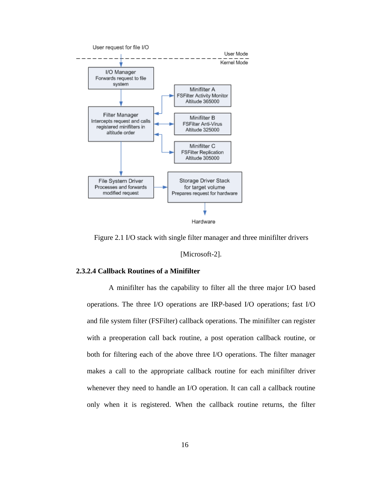

Figure 2.1 I/O stack with single filter manager and three minifilter drivers

[Microsoft-2].

#### **2.3.2.4 Callback Routines of a Minifilter**

A minifilter has the capability to filter all the three major I/O based operations. The three I/O operations are IRP-based I/O operations; fast I/O and file system filter (FSFilter) callback operations. The minifilter can register with a preoperation call back routine, a post operation callback routine, or both for filtering each of the above three I/O operations. The filter manager makes a call to the appropriate callback routine for each minifilter driver whenever they need to handle an I/O operation. It can call a callback routine only when it is registered. When the callback routine returns, the filter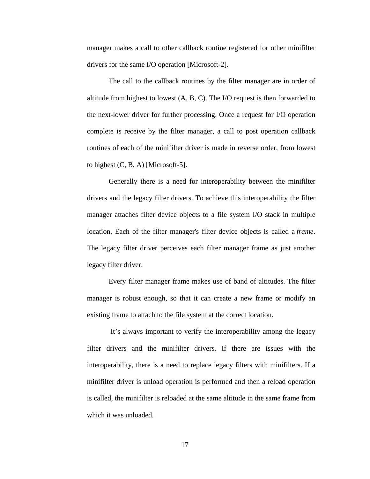manager makes a call to other callback routine registered for other minifilter drivers for the same I/O operation [Microsoft-2].

The call to the callback routines by the filter manager are in order of altitude from highest to lowest (A, B, C). The I/O request is then forwarded to the next-lower driver for further processing. Once a request for I/O operation complete is receive by the filter manager, a call to post operation callback routines of each of the minifilter driver is made in reverse order, from lowest to highest (C, B, A) [Microsoft-5].

Generally there is a need for interoperability between the minifilter drivers and the legacy filter drivers. To achieve this interoperability the filter manager attaches filter device objects to a file system I/O stack in multiple location. Each of the filter manager's filter device objects is called a *frame*. The legacy filter driver perceives each filter manager frame as just another legacy filter driver.

Every filter manager frame makes use of band of altitudes. The filter manager is robust enough, so that it can create a new frame or modify an existing frame to attach to the file system at the correct location.

 It's always important to verify the interoperability among the legacy filter drivers and the minifilter drivers. If there are issues with the interoperability, there is a need to replace legacy filters with minifilters. If a minifilter driver is unload operation is performed and then a reload operation is called, the minifilter is reloaded at the same altitude in the same frame from which it was unloaded.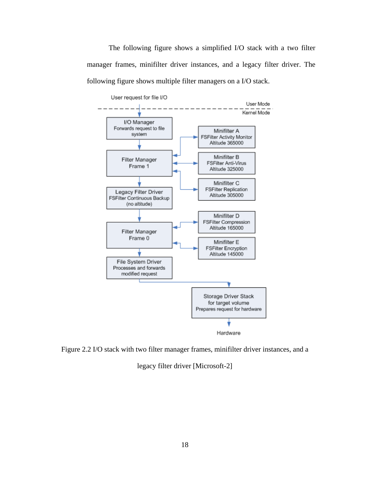The following figure shows a simplified I/O stack with a two filter manager frames, minifilter driver instances, and a legacy filter driver. The following figure shows multiple filter managers on a I/O stack.



Figure 2.2 I/O stack with two filter manager frames, minifilter driver instances, and a

legacy filter driver [Microsoft-2]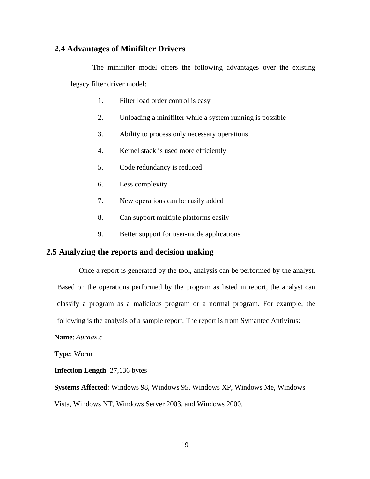# **2.4 Advantages of Minifilter Drivers**

The minifilter model offers the following advantages over the existing legacy filter driver model:

- 1. Filter load order control is easy
- 2. Unloading a minifilter while a system running is possible
- 3. Ability to process only necessary operations
- 4. Kernel stack is used more efficiently
- 5. Code redundancy is reduced
- 6. Less complexity
- 7. New operations can be easily added
- 8. Can support multiple platforms easily
- 9. Better support for user-mode applications

# **2.5 Analyzing the reports and decision making**

Once a report is generated by the tool, analysis can be performed by the analyst.

Based on the operations performed by the program as listed in report, the analyst can classify a program as a malicious program or a normal program. For example, the

following is the analysis of a sample report. The report is from Symantec Antivirus:

**Name**: *Auraax.c*

**Type**: Worm

**Infection Length**: 27,136 bytes

**Systems Affected**: Windows 98, Windows 95, Windows XP, Windows Me, Windows Vista, Windows NT, Windows Server 2003, and Windows 2000.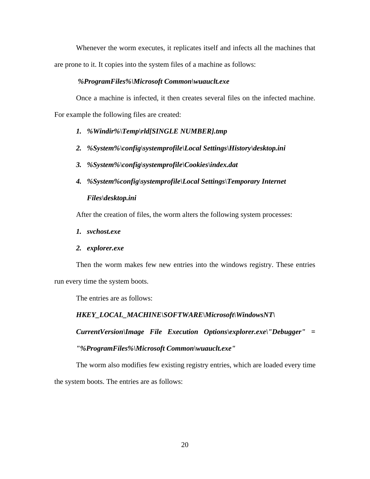Whenever the worm executes, it replicates itself and infects all the machines that are prone to it. It copies into the system files of a machine as follows:

#### *%ProgramFiles%\Microsoft Common\wuauclt.exe*

Once a machine is infected, it then creates several files on the infected machine. For example the following files are created:

- *1. %Windir%\Temp\rld[SINGLE NUMBER].tmp*
- *2. %System%\config\systemprofile\Local Settings\History\desktop.ini*
- *3. %System%\config\systemprofile\Cookies\index.dat*
- *4. %System%config\systemprofile\Local Settings\Temporary Internet Files\desktop.ini*

After the creation of files, the worm alters the following system processes:

*1. svchost.exe* 

# *2. explorer.exe*

Then the worm makes few new entries into the windows registry. These entries run every time the system boots.

The entries are as follows:

*HKEY\_LOCAL\_MACHINE\SOFTWARE\Microsoft\WindowsNT\ CurrentVersion\Image File Execution Options\explorer.exe\"Debugger" = "%ProgramFiles%\Microsoft Common\wuauclt.exe"* 

The worm also modifies few existing registry entries, which are loaded every time the system boots. The entries are as follows: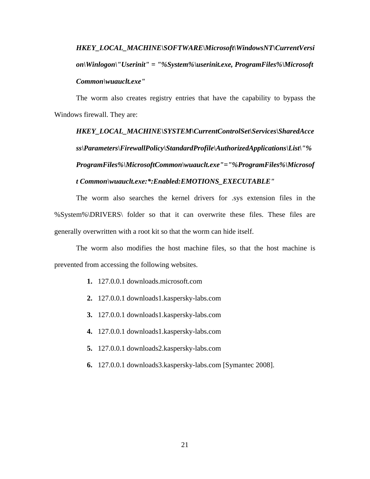# *HKEY\_LOCAL\_MACHINE\SOFTWARE\Microsoft\WindowsNT\CurrentVersi on\Winlogon\"Userinit" = "%System%\userinit.exe, ProgramFiles%\Microsoft Common\wuauclt.exe"*

The worm also creates registry entries that have the capability to bypass the Windows firewall. They are:

*HKEY\_LOCAL\_MACHINE\SYSTEM\CurrentControlSet\Services\SharedAcce ss\Parameters\FirewallPolicy\StandardProfile\AuthorizedApplications\List\"% ProgramFiles%\MicrosoftCommon\wuauclt.exe"="%ProgramFiles%\Microsof t Common\wuauclt.exe:\*:Enabled:EMOTIONS\_EXECUTABLE"* 

The worm also searches the kernel drivers for .sys extension files in the %System%\DRIVERS\ folder so that it can overwrite these files. These files are generally overwritten with a root kit so that the worm can hide itself.

The worm also modifies the host machine files, so that the host machine is prevented from accessing the following websites.

- **1.** 127.0.0.1 downloads.microsoft.com
- **2.** 127.0.0.1 downloads1.kaspersky-labs.com
- **3.** 127.0.0.1 downloads1.kaspersky-labs.com
- **4.** 127.0.0.1 downloads1.kaspersky-labs.com
- **5.** 127.0.0.1 downloads2.kaspersky-labs.com
- **6.** 127.0.0.1 downloads3.kaspersky-labs.com [Symantec 2008].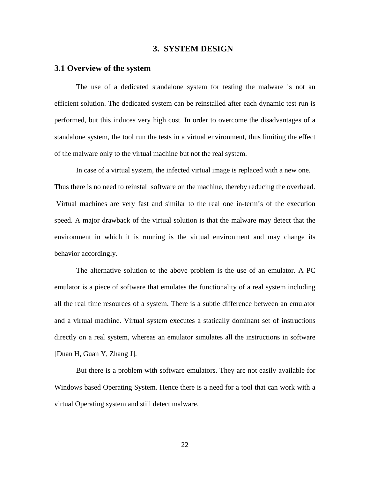# **3. SYSTEM DESIGN**

## **3.1 Overview of the system**

The use of a dedicated standalone system for testing the malware is not an efficient solution. The dedicated system can be reinstalled after each dynamic test run is performed, but this induces very high cost. In order to overcome the disadvantages of a standalone system, the tool run the tests in a virtual environment, thus limiting the effect of the malware only to the virtual machine but not the real system.

 In case of a virtual system, the infected virtual image is replaced with a new one. Thus there is no need to reinstall software on the machine, thereby reducing the overhead. Virtual machines are very fast and similar to the real one in-term's of the execution speed. A major drawback of the virtual solution is that the malware may detect that the environment in which it is running is the virtual environment and may change its behavior accordingly.

 The alternative solution to the above problem is the use of an emulator. A PC emulator is a piece of software that emulates the functionality of a real system including all the real time resources of a system. There is a subtle difference between an emulator and a virtual machine. Virtual system executes a statically dominant set of instructions directly on a real system, whereas an emulator simulates all the instructions in software [Duan H, Guan Y, Zhang J].

But there is a problem with software emulators. They are not easily available for Windows based Operating System. Hence there is a need for a tool that can work with a virtual Operating system and still detect malware.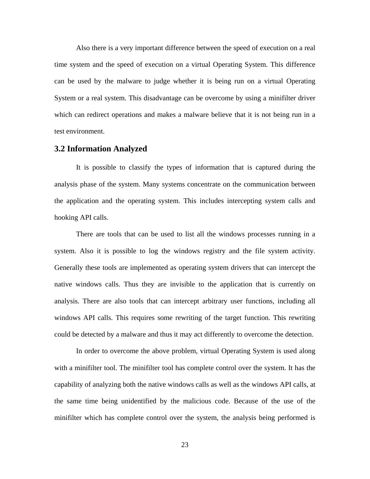Also there is a very important difference between the speed of execution on a real time system and the speed of execution on a virtual Operating System. This difference can be used by the malware to judge whether it is being run on a virtual Operating System or a real system. This disadvantage can be overcome by using a minifilter driver which can redirect operations and makes a malware believe that it is not being run in a test environment.

#### **3.2 Information Analyzed**

It is possible to classify the types of information that is captured during the analysis phase of the system. Many systems concentrate on the communication between the application and the operating system. This includes intercepting system calls and hooking API calls.

There are tools that can be used to list all the windows processes running in a system. Also it is possible to log the windows registry and the file system activity. Generally these tools are implemented as operating system drivers that can intercept the native windows calls. Thus they are invisible to the application that is currently on analysis. There are also tools that can intercept arbitrary user functions, including all windows API calls. This requires some rewriting of the target function. This rewriting could be detected by a malware and thus it may act differently to overcome the detection.

In order to overcome the above problem, virtual Operating System is used along with a minifilter tool. The minifilter tool has complete control over the system. It has the capability of analyzing both the native windows calls as well as the windows API calls, at the same time being unidentified by the malicious code. Because of the use of the minifilter which has complete control over the system, the analysis being performed is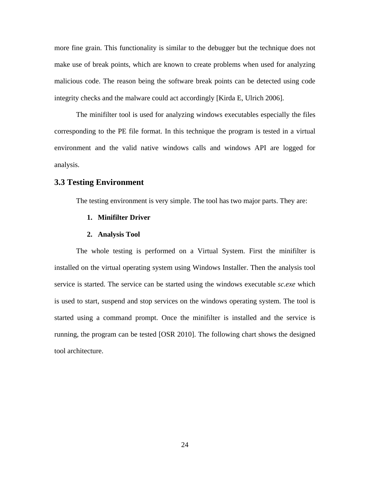more fine grain. This functionality is similar to the debugger but the technique does not make use of break points, which are known to create problems when used for analyzing malicious code. The reason being the software break points can be detected using code integrity checks and the malware could act accordingly [Kirda E, Ulrich 2006].

The minifilter tool is used for analyzing windows executables especially the files corresponding to the PE file format. In this technique the program is tested in a virtual environment and the valid native windows calls and windows API are logged for analysis.

## **3.3 Testing Environment**

The testing environment is very simple. The tool has two major parts. They are:

#### **1. Minifilter Driver**

#### **2. Analysis Tool**

The whole testing is performed on a Virtual System. First the minifilter is installed on the virtual operating system using Windows Installer. Then the analysis tool service is started. The service can be started using the windows executable *sc.exe* which is used to start, suspend and stop services on the windows operating system. The tool is started using a command prompt. Once the minifilter is installed and the service is running, the program can be tested [OSR 2010]. The following chart shows the designed tool architecture.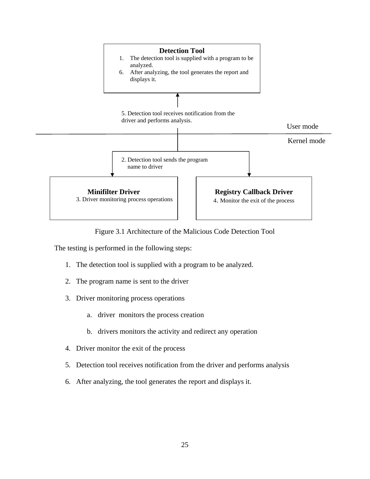

Figure 3.1 Architecture of the Malicious Code Detection Tool

The testing is performed in the following steps:

- 1. The detection tool is supplied with a program to be analyzed.
- 2. The program name is sent to the driver
- 3. Driver monitoring process operations
	- a. driver monitors the process creation
	- b. drivers monitors the activity and redirect any operation
- 4. Driver monitor the exit of the process
- 5. Detection tool receives notification from the driver and performs analysis
- 6. After analyzing, the tool generates the report and displays it.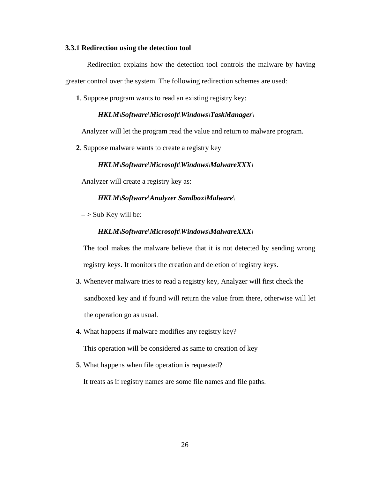#### **3.3.1 Redirection using the detection tool**

Redirection explains how the detection tool controls the malware by having greater control over the system. The following redirection schemes are used:

**1**. Suppose program wants to read an existing registry key:

#### *HKLM\Software\Microsoft\Windows\TaskManager\*

Analyzer will let the program read the value and return to malware program.

**2**. Suppose malware wants to create a registry key

#### *HKLM\Software\Microsoft\Windows\MalwareXXX\*

Analyzer will create a registry key as:

#### *HKLM\Software\Analyzer Sandbox\Malware\*

 $\sim$  Sub Key will be:

#### *HKLM\Software\Microsoft\Windows\MalwareXXX\*

The tool makes the malware believe that it is not detected by sending wrong registry keys. It monitors the creation and deletion of registry keys.

- **3**. Whenever malware tries to read a registry key, Analyzer will first check the sandboxed key and if found will return the value from there, otherwise will let the operation go as usual.
- **4**. What happens if malware modifies any registry key?

This operation will be considered as same to creation of key

**5**. What happens when file operation is requested?

It treats as if registry names are some file names and file paths.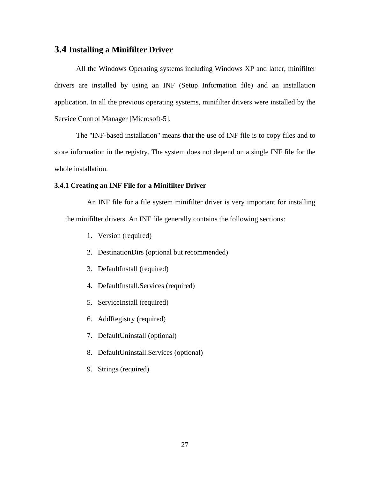# **3.4 Installing a Minifilter Driver**

All the Windows Operating systems including Windows XP and latter, minifilter drivers are installed by using an INF (Setup Information file) and an installation application. In all the previous operating systems, minifilter drivers were installed by the Service Control Manager [Microsoft-5].

The "INF-based installation" means that the use of INF file is to copy files and to store information in the registry. The system does not depend on a single INF file for the whole installation.

#### **3.4.1 Creating an INF File for a Minifilter Driver**

An INF file for a file system minifilter driver is very important for installing the minifilter drivers. An INF file generally contains the following sections:

- 1. Version (required)
- 2. DestinationDirs (optional but recommended)
- 3. DefaultInstall (required)
- 4. DefaultInstall.Services (required)
- 5. ServiceInstall (required)
- 6. AddRegistry (required)
- 7. DefaultUninstall (optional)
- 8. DefaultUninstall.Services (optional)
- 9. Strings (required)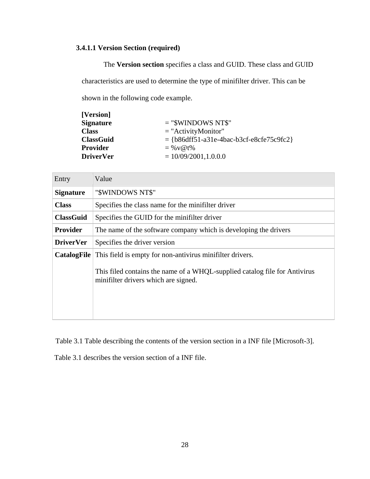# **3.4.1.1 Version Section (required)**

The **Version section** specifies a class and GUID. These class and GUID characteristics are used to determine the type of minifilter driver. This can be shown in the following code example.

| $=$ "\$WINDOWS NT\$"                         |
|----------------------------------------------|
| $=$ "ActivityMonitor"                        |
| $= \{b86dff51-a31e-4bac-b3cf-e8cf675c9fc2\}$ |
| $=$ % v @ t%                                 |
| $= 10/09/2001, 1.0.0.0$                      |
|                                              |

| Entry                | Value                                                                                                              |
|----------------------|--------------------------------------------------------------------------------------------------------------------|
| <b>Signature</b>     | "\$WINDOWS NT\$"                                                                                                   |
| <b>Class</b>         | Specifies the class name for the minifilter driver                                                                 |
| <b>ClassGuid</b>     | Specifies the GUID for the minifilter driver                                                                       |
| <b>Provider</b>      | The name of the software company which is developing the drivers                                                   |
| <b>DriverVer</b>     | Specifies the driver version                                                                                       |
| $\text{CatalogFile}$ | This field is empty for non-antivirus minifilter drivers.                                                          |
|                      | This filed contains the name of a WHQL-supplied catalog file for Antivirus<br>minifilter drivers which are signed. |

Table 3.1 Table describing the contents of the version section in a INF file [Microsoft-3].

Table 3.1 describes the version section of a INF file.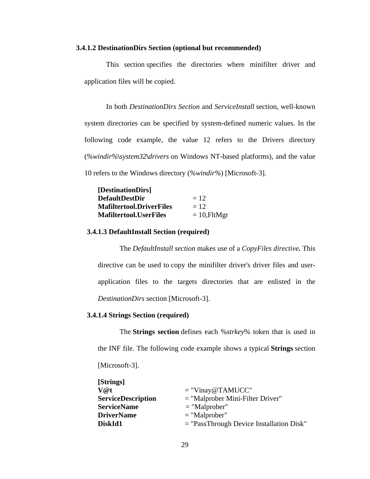#### **3.4.1.2 DestinationDirs Section (optional but recommended)**

This section specifies the directories where minifilter driver and application files will be copied.

In both *DestinationDirs Section* and *ServiceInstall* section, well-known system directories can be specified by system-defined numeric values. In the following code example, the value 12 refers to the Drivers directory (*%windir%***\***system32***\***drivers* on Windows NT-based platforms), and the value 10 refers to the Windows directory (*%windir%*) [Microsoft-3].

| [DestinationDirs]               |                 |
|---------------------------------|-----------------|
| <b>DefaultDestDir</b>           | $= 12$          |
| <b>Mafiltertool.DriverFiles</b> | $= 12$          |
| <b>Mafiltertool.UserFiles</b>   | $= 10$ , FltMgr |

#### **3.4.1.3 DefaultInstall Section (required)**

The *DefaultInstall section* makes use of a *CopyFiles directive.* This directive can be used to copy the minifilter driver's driver files and userapplication files to the targets directories that are enlisted in the *DestinationDirs* section [Microsoft-3].

#### **3.4.1.4 Strings Section (required)**

The **Strings section** defines each %*strkey*% token that is used in the INF file. The following code example shows a typical **Strings** section [Microsoft-3].

| $=$ "Vinay@TAMUCC"                         |
|--------------------------------------------|
| $=$ "Malprober Mini-Filter Driver"         |
| $=$ "Malprober"                            |
| $=$ "Malprober"                            |
| $=$ "PassThrough Device Installation Disk" |
|                                            |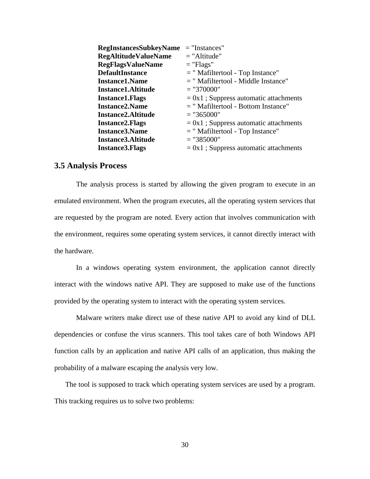| <b>RegInstancesSubkeyName</b> | $=$ "Instances"                          |
|-------------------------------|------------------------------------------|
| <b>RegAltitudeValueName</b>   | $=$ "Altitude"                           |
| <b>RegFlagsValueName</b>      | $=$ "Flags"                              |
| <b>DefaultInstance</b>        | $=$ "Mafiltertool - Top Instance"        |
| <b>Instance1.Name</b>         | = " Mafiltertool - Middle Instance"      |
| <b>Instance 1. Altitude</b>   | $=$ "370000"                             |
| <b>Instance 1. Flags</b>      | $= 0x1$ ; Suppress automatic attachments |
| <b>Instance2.Name</b>         | $=$ "Mafiltertool - Bottom Instance"     |
| <b>Instance2.Altitude</b>     | $=$ "365000"                             |
| <b>Instance 2. Flags</b>      | $= 0x1$ ; Suppress automatic attachments |
| <b>Instance3.Name</b>         | $=$ "Mafiltertool - Top Instance"        |
| <b>Instance3.Altitude</b>     | $=$ "385000"                             |
| <b>Instance3.Flags</b>        | $= 0x1$ ; Suppress automatic attachments |

# **3.5 Analysis Process**

The analysis process is started by allowing the given program to execute in an emulated environment. When the program executes, all the operating system services that are requested by the program are noted. Every action that involves communication with the environment, requires some operating system services, it cannot directly interact with the hardware.

 In a windows operating system environment, the application cannot directly interact with the windows native API. They are supposed to make use of the functions provided by the operating system to interact with the operating system services.

 Malware writers make direct use of these native API to avoid any kind of DLL dependencies or confuse the virus scanners. This tool takes care of both Windows API function calls by an application and native API calls of an application, thus making the probability of a malware escaping the analysis very low.

The tool is supposed to track which operating system services are used by a program. This tracking requires us to solve two problems: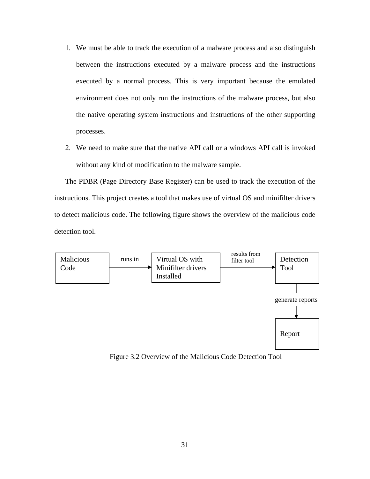- 1. We must be able to track the execution of a malware process and also distinguish between the instructions executed by a malware process and the instructions executed by a normal process. This is very important because the emulated environment does not only run the instructions of the malware process, but also the native operating system instructions and instructions of the other supporting processes.
- 2. We need to make sure that the native API call or a windows API call is invoked without any kind of modification to the malware sample.

The PDBR (Page Directory Base Register) can be used to track the execution of the instructions. This project creates a tool that makes use of virtual OS and minifilter drivers to detect malicious code. The following figure shows the overview of the malicious code detection tool.



Figure 3.2 Overview of the Malicious Code Detection Tool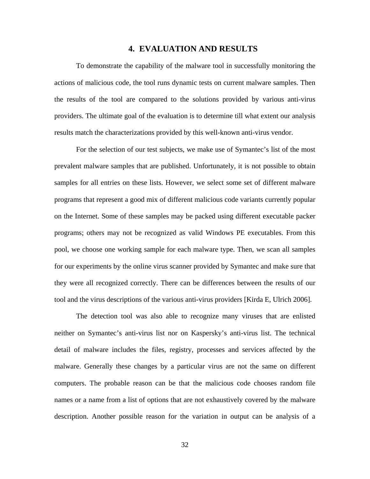#### **4. EVALUATION AND RESULTS**

To demonstrate the capability of the malware tool in successfully monitoring the actions of malicious code, the tool runs dynamic tests on current malware samples. Then the results of the tool are compared to the solutions provided by various anti-virus providers. The ultimate goal of the evaluation is to determine till what extent our analysis results match the characterizations provided by this well-known anti-virus vendor.

For the selection of our test subjects, we make use of Symantec's list of the most prevalent malware samples that are published. Unfortunately, it is not possible to obtain samples for all entries on these lists. However, we select some set of different malware programs that represent a good mix of different malicious code variants currently popular on the Internet. Some of these samples may be packed using different executable packer programs; others may not be recognized as valid Windows PE executables. From this pool, we choose one working sample for each malware type. Then, we scan all samples for our experiments by the online virus scanner provided by Symantec and make sure that they were all recognized correctly. There can be differences between the results of our tool and the virus descriptions of the various anti-virus providers [Kirda E, Ulrich 2006].

The detection tool was also able to recognize many viruses that are enlisted neither on Symantec's anti-virus list nor on Kaspersky's anti-virus list. The technical detail of malware includes the files, registry, processes and services affected by the malware. Generally these changes by a particular virus are not the same on different computers. The probable reason can be that the malicious code chooses random file names or a name from a list of options that are not exhaustively covered by the malware description. Another possible reason for the variation in output can be analysis of a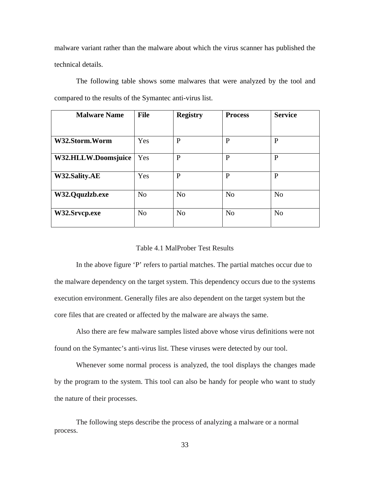malware variant rather than the malware about which the virus scanner has published the technical details.

 The following table shows some malwares that were analyzed by the tool and compared to the results of the Symantec anti-virus list.

| <b>Malware Name</b> | <b>File</b>    | <b>Registry</b> | <b>Process</b> | <b>Service</b> |
|---------------------|----------------|-----------------|----------------|----------------|
|                     |                |                 |                |                |
| W32.Storm.Worm      | Yes            | $\mathbf{P}$    | $\mathbf{P}$   | P              |
| W32.HLLW.Doomsjuice | Yes            | $\mathbf{P}$    | P              | $\mathbf{P}$   |
| W32.Sality.AE       | Yes            | P               | P              | P              |
| W32.Qquzlzb.exe     | N <sub>o</sub> | N <sub>o</sub>  | N <sub>o</sub> | N <sub>o</sub> |
| W32.Srvcp.exe       | N <sub>o</sub> | N <sub>o</sub>  | N <sub>o</sub> | N <sub>o</sub> |

#### Table 4.1 MalProber Test Results

In the above figure 'P' refers to partial matches. The partial matches occur due to the malware dependency on the target system. This dependency occurs due to the systems execution environment. Generally files are also dependent on the target system but the core files that are created or affected by the malware are always the same.

Also there are few malware samples listed above whose virus definitions were not found on the Symantec's anti-virus list. These viruses were detected by our tool.

Whenever some normal process is analyzed, the tool displays the changes made by the program to the system. This tool can also be handy for people who want to study the nature of their processes.

 The following steps describe the process of analyzing a malware or a normal process.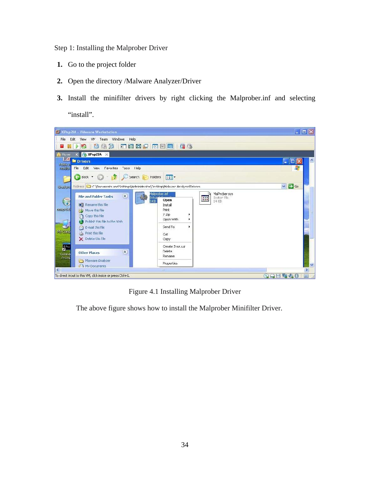Step 1: Installing the Malprober Driver

- **1.** Go to the project folder
- **2.** Open the directory /Malware Analyzer/Driver
- **3.** Install the minifilter drivers by right clicking the Malprober.inf and selecting "install".



Figure 4.1 Installing Malprober Driver

The above figure shows how to install the Malprober Minifilter Driver.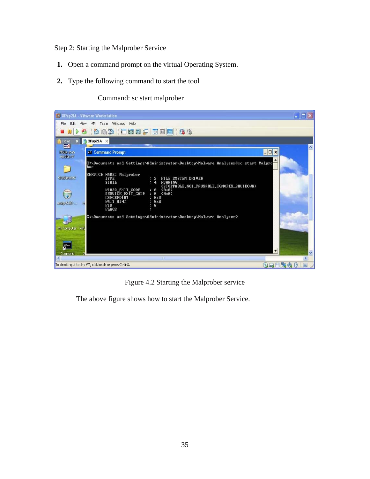Step 2: Starting the Malprober Service

- **1.** Open a command prompt on the virtual Operating System.
- **2.** Type the following command to start the tool

Command: sc start malprober



Figure 4.2 Starting the Malprober service

The above figure shows how to start the Malprober Service.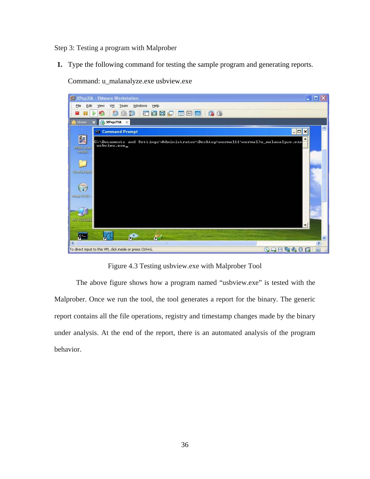Step 3: Testing a program with Malprober

**1.** Type the following command for testing the sample program and generating reports.

Command: u\_malanalyze.exe usbview.exe



Figure 4.3 Testing usbview.exe with Malprober Tool

The above figure shows how a program named "usbview.exe" is tested with the Malprober. Once we run the tool, the tool generates a report for the binary. The generic report contains all the file operations, registry and timestamp changes made by the binary under analysis. At the end of the report, there is an automated analysis of the program behavior.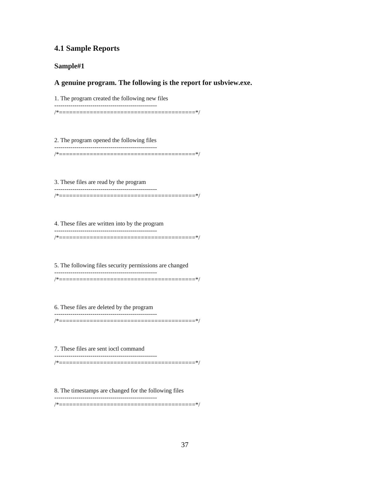# **4.1 Sample Reports**

#### **Sample#1**

#### **A genuine program. The following is the report for usbview.exe.**

1. The program created the following new files

--------------------------------------------------- /\*========================================\*/

2. The program opened the following files

--------------------------------------------------- /\*========================================\*/

3. These files are read by the program ---------------------------------------------------

/\*========================================\*/

4. These files are written into by the program --------------------------------------------------- /\*========================================\*/

5. The following files security permissions are changed --------------------------------------------------- /\*========================================\*/

6. These files are deleted by the program

--------------------------------------------------- /\*========================================\*/

7. These files are sent ioctl command ---------------------------------------------------

---------------------------------------------------

/\*========================================\*/

8. The timestamps are changed for the following files

/\*========================================\*/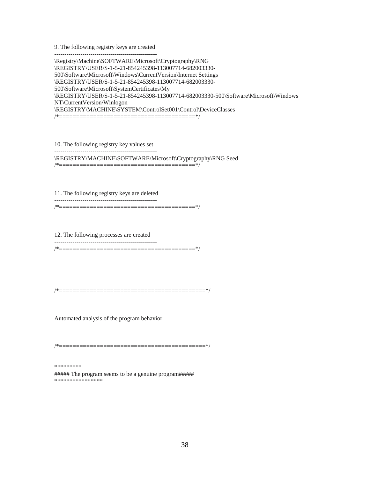9. The following registry keys are created ---------------------------------------------------

\Registry\Machine\SOFTWARE\Microsoft\Cryptography\RNG \REGISTRY\USER\S-1-5-21-854245398-113007714-682003330- 500\Software\Microsoft\Windows\CurrentVersion\Internet Settings \REGISTRY\USER\S-1-5-21-854245398-113007714-682003330- 500\Software\Microsoft\SystemCertificates\My \REGISTRY\USER\S-1-5-21-854245398-113007714-682003330-500\Software\Microsoft\Windows NT\CurrentVersion\Winlogon \REGISTRY\MACHINE\SYSTEM\ControlSet001\Control\DeviceClasses /\*========================================\*/

10. The following registry key values set ---------------------------------------------------

\REGISTRY\MACHINE\SOFTWARE\Microsoft\Cryptography\RNG Seed /\*========================================\*/

11. The following registry keys are deleted

---------------------------------------------------

/\*========================================\*/

12. The following processes are created --------------------------------------------------- /\*========================================\*/

/\*===========================================\*/

Automated analysis of the program behavior

/\*===========================================\*/

\*\*\*\*\*\*\*\*\*

##### The program seems to be a genuine program##### \*\*\*\*\*\*\*\*\*\*\*\*\*\*\*\*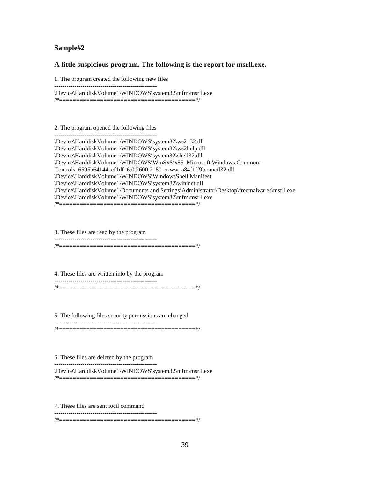#### **Sample#2**

#### **A little suspicious program. The following is the report for msrll.exe.**

1. The program created the following new files

---------------------------------------------------

\Device\HarddiskVolume1\WINDOWS\system32\mfm\msrll.exe

/\*========================================\*/

2. The program opened the following files

--------------------------------------------------- \Device\HarddiskVolume1\WINDOWS\system32\ws2\_32.dll \Device\HarddiskVolume1\WINDOWS\system32\ws2help.dll \Device\HarddiskVolume1\WINDOWS\system32\shell32.dll \Device\HarddiskVolume1\WINDOWS\WinSxS\x86\_Microsoft.Windows.Common-Controls\_6595b64144ccf1df\_6.0.2600.2180\_x-ww\_a84f1ff9\comctl32.dll \Device\HarddiskVolume1\WINDOWS\WindowsShell.Manifest \Device\HarddiskVolume1\WINDOWS\system32\wininet.dll \Device\HarddiskVolume1\Documents and Settings\Administrator\Desktop\freemalwares\msrll.exe \Device\HarddiskVolume1\WINDOWS\system32\mfm\msrll.exe

/\*========================================\*/

3. These files are read by the program

---------------------------------------------------

/\*========================================\*/

4. These files are written into by the program --------------------------------------------------- /\*========================================\*/

5. The following files security permissions are changed --------------------------------------------------- /\*========================================\*/

6. These files are deleted by the program ---------------------------------------------------

\Device\HarddiskVolume1\WINDOWS\system32\mfm\msrll.exe /\*========================================\*/

7. These files are sent ioctl command

---------------------------------------------------

/\*========================================\*/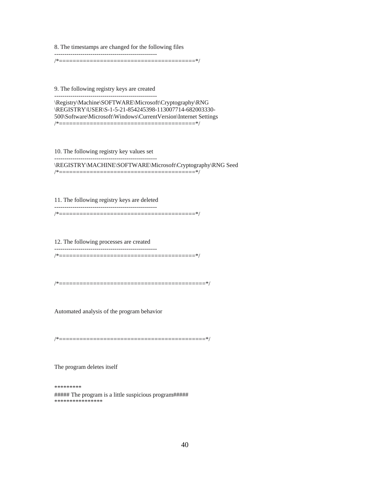8. The timestamps are changed for the following files

--------------------------------------------------- /\*========================================\*/

9. The following registry keys are created ---------------------------------------------------

\Registry\Machine\SOFTWARE\Microsoft\Cryptography\RNG \REGISTRY\USER\S-1-5-21-854245398-113007714-682003330- 500\Software\Microsoft\Windows\CurrentVersion\Internet Settings /\*========================================\*/

10. The following registry key values set ---------------------------------------------------

\REGISTRY\MACHINE\SOFTWARE\Microsoft\Cryptography\RNG Seed

/\*========================================\*/

11. The following registry keys are deleted --------------------------------------------------- /\*========================================\*/

12. The following processes are created --------------------------------------------------- /\*========================================\*/

/\*===========================================\*/

Automated analysis of the program behavior

/\*===========================================\*/

The program deletes itself

\*\*\*\*\*\*\*\*\* ##### The program is a little suspicious program##### \*\*\*\*\*\*\*\*\*\*\*\*\*\*\*\*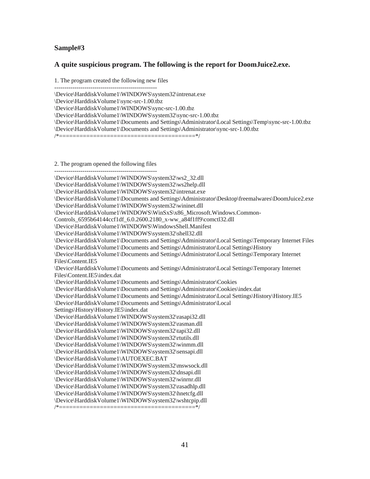## **Sample#3**

#### **A quite suspicious program. The following is the report for DoomJuice2.exe.**

1. The program created the following new files

---------------------------------------------------

\Device\HarddiskVolume1\WINDOWS\system32\intrenat.exe

\Device\HarddiskVolume1\sync-src-1.00.tbz

\Device\HarddiskVolume1\WINDOWS\sync-src-1.00.tbz

\Device\HarddiskVolume1\WINDOWS\system32\sync-src-1.00.tbz

\Device\HarddiskVolume1\Documents and Settings\Administrator\Local Settings\Temp\sync-src-1.00.tbz \Device\HarddiskVolume1\Documents and Settings\Administrator\sync-src-1.00.tbz

/\*========================================\*/

2. The program opened the following files

--------------------------------------------------- \Device\HarddiskVolume1\WINDOWS\system32\ws2\_32.dll \Device\HarddiskVolume1\WINDOWS\system32\ws2help.dll \Device\HarddiskVolume1\WINDOWS\system32\intrenat.exe \Device\HarddiskVolume1\Documents and Settings\Administrator\Desktop\freemalwares\DoomJuice2.exe \Device\HarddiskVolume1\WINDOWS\system32\wininet.dll \Device\HarddiskVolume1\WINDOWS\WinSxS\x86\_Microsoft.Windows.Common-Controls\_6595b64144ccf1df\_6.0.2600.2180\_x-ww\_a84f1ff9\comctl32.dll \Device\HarddiskVolume1\WINDOWS\WindowsShell.Manifest \Device\HarddiskVolume1\WINDOWS\system32\shell32.dll \Device\HarddiskVolume1\Documents and Settings\Administrator\Local Settings\Temporary Internet Files \Device\HarddiskVolume1\Documents and Settings\Administrator\Local Settings\History \Device\HarddiskVolume1\Documents and Settings\Administrator\Local Settings\Temporary Internet Files\Content.IE5 \Device\HarddiskVolume1\Documents and Settings\Administrator\Local Settings\Temporary Internet Files\Content.IE5\index.dat \Device\HarddiskVolume1\Documents and Settings\Administrator\Cookies \Device\HarddiskVolume1\Documents and Settings\Administrator\Cookies\index.dat \Device\HarddiskVolume1\Documents and Settings\Administrator\Local Settings\History\History.IE5 \Device\HarddiskVolume1\Documents and Settings\Administrator\Local Settings\History\History.IE5\index.dat \Device\HarddiskVolume1\WINDOWS\system32\rasapi32.dll \Device\HarddiskVolume1\WINDOWS\system32\rasman.dll \Device\HarddiskVolume1\WINDOWS\system32\tapi32.dll \Device\HarddiskVolume1\WINDOWS\system32\rtutils.dll \Device\HarddiskVolume1\WINDOWS\system32\winmm.dll \Device\HarddiskVolume1\WINDOWS\system32\sensapi.dll \Device\HarddiskVolume1\AUTOEXEC.BAT \Device\HarddiskVolume1\WINDOWS\system32\mswsock.dll \Device\HarddiskVolume1\WINDOWS\system32\dnsapi.dll \Device\HarddiskVolume1\WINDOWS\system32\winrnr.dll \Device\HarddiskVolume1\WINDOWS\system32\rasadhlp.dll \Device\HarddiskVolume1\WINDOWS\system32\hnetcfg.dll \Device\HarddiskVolume1\WINDOWS\system32\wshtcpip.dll /\*========================================\*/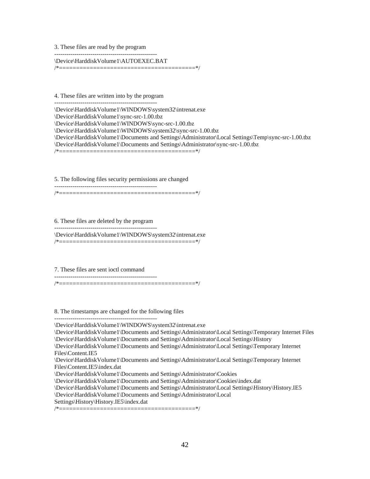3. These files are read by the program ---------------------------------------------------

\Device\HarddiskVolume1\AUTOEXEC.BAT

/\*========================================\*/

4. These files are written into by the program ---------------------------------------------------

\Device\HarddiskVolume1\WINDOWS\system32\intrenat.exe \Device\HarddiskVolume1\sync-src-1.00.tbz \Device\HarddiskVolume1\WINDOWS\sync-src-1.00.tbz \Device\HarddiskVolume1\WINDOWS\system32\sync-src-1.00.tbz \Device\HarddiskVolume1\Documents and Settings\Administrator\Local Settings\Temp\sync-src-1.00.tbz \Device\HarddiskVolume1\Documents and Settings\Administrator\sync-src-1.00.tbz /\*========================================\*/

5. The following files security permissions are changed

---------------------------------------------------

/\*========================================\*/

6. These files are deleted by the program ---------------------------------------------------

\Device\HarddiskVolume1\WINDOWS\system32\intrenat.exe

/\*========================================\*/

7. These files are sent ioctl command

---------------------------------------------------

/\*========================================\*/

8. The timestamps are changed for the following files

--------------------------------------------------- \Device\HarddiskVolume1\WINDOWS\system32\intrenat.exe \Device\HarddiskVolume1\Documents and Settings\Administrator\Local Settings\Temporary Internet Files \Device\HarddiskVolume1\Documents and Settings\Administrator\Local Settings\History \Device\HarddiskVolume1\Documents and Settings\Administrator\Local Settings\Temporary Internet Files\Content.IE5 \Device\HarddiskVolume1\Documents and Settings\Administrator\Local Settings\Temporary Internet Files\Content.IE5\index.dat \Device\HarddiskVolume1\Documents and Settings\Administrator\Cookies \Device\HarddiskVolume1\Documents and Settings\Administrator\Cookies\index.dat \Device\HarddiskVolume1\Documents and Settings\Administrator\Local Settings\History\History.IE5 \Device\HarddiskVolume1\Documents and Settings\Administrator\Local

Settings\History\History.IE5\index.dat

/\*========================================\*/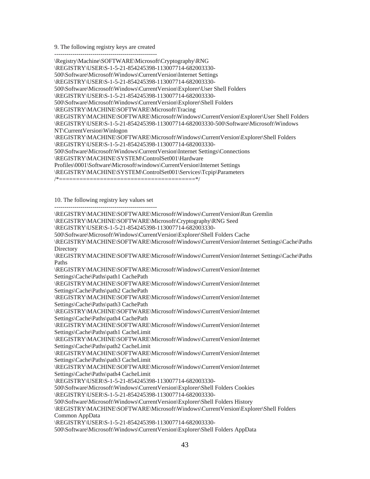9. The following registry keys are created ---------------------------------------------------

\Registry\Machine\SOFTWARE\Microsoft\Cryptography\RNG \REGISTRY\USER\S-1-5-21-854245398-113007714-682003330- 500\Software\Microsoft\Windows\CurrentVersion\Internet Settings \REGISTRY\USER\S-1-5-21-854245398-113007714-682003330- 500\Software\Microsoft\Windows\CurrentVersion\Explorer\User Shell Folders \REGISTRY\USER\S-1-5-21-854245398-113007714-682003330- 500\Software\Microsoft\Windows\CurrentVersion\Explorer\Shell Folders \REGISTRY\MACHINE\SOFTWARE\Microsoft\Tracing \REGISTRY\MACHINE\SOFTWARE\Microsoft\Windows\CurrentVersion\Explorer\User Shell Folders \REGISTRY\USER\S-1-5-21-854245398-113007714-682003330-500\Software\Microsoft\Windows NT\CurrentVersion\Winlogon \REGISTRY\MACHINE\SOFTWARE\Microsoft\Windows\CurrentVersion\Explorer\Shell Folders \REGISTRY\USER\S-1-5-21-854245398-113007714-682003330- 500\Software\Microsoft\Windows\CurrentVersion\Internet Settings\Connections \REGISTRY\MACHINE\SYSTEM\ControlSet001\Hardware Profiles\0001\Software\Microsoft\windows\CurrentVersion\Internet Settings \REGISTRY\MACHINE\SYSTEM\ControlSet001\Services\Tcpip\Parameters /\*========================================\*/

10. The following registry key values set

---------------------------------------------------

\REGISTRY\MACHINE\SOFTWARE\Microsoft\Windows\CurrentVersion\Run Gremlin \REGISTRY\MACHINE\SOFTWARE\Microsoft\Cryptography\RNG Seed \REGISTRY\USER\S-1-5-21-854245398-113007714-682003330- 500\Software\Microsoft\Windows\CurrentVersion\Explorer\Shell Folders Cache \REGISTRY\MACHINE\SOFTWARE\Microsoft\Windows\CurrentVersion\Internet Settings\Cache\Paths **Directory** \REGISTRY\MACHINE\SOFTWARE\Microsoft\Windows\CurrentVersion\Internet Settings\Cache\Paths Paths \REGISTRY\MACHINE\SOFTWARE\Microsoft\Windows\CurrentVersion\Internet Settings\Cache\Paths\path1 CachePath \REGISTRY\MACHINE\SOFTWARE\Microsoft\Windows\CurrentVersion\Internet Settings\Cache\Paths\path2 CachePath \REGISTRY\MACHINE\SOFTWARE\Microsoft\Windows\CurrentVersion\Internet Settings\Cache\Paths\path3 CachePath \REGISTRY\MACHINE\SOFTWARE\Microsoft\Windows\CurrentVersion\Internet Settings\Cache\Paths\path4 CachePath \REGISTRY\MACHINE\SOFTWARE\Microsoft\Windows\CurrentVersion\Internet Settings\Cache\Paths\path1 CacheLimit \REGISTRY\MACHINE\SOFTWARE\Microsoft\Windows\CurrentVersion\Internet Settings\Cache\Paths\path2 CacheLimit \REGISTRY\MACHINE\SOFTWARE\Microsoft\Windows\CurrentVersion\Internet Settings\Cache\Paths\path3 CacheLimit \REGISTRY\MACHINE\SOFTWARE\Microsoft\Windows\CurrentVersion\Internet Settings\Cache\Paths\path4 CacheLimit \REGISTRY\USER\S-1-5-21-854245398-113007714-682003330- 500\Software\Microsoft\Windows\CurrentVersion\Explorer\Shell Folders Cookies \REGISTRY\USER\S-1-5-21-854245398-113007714-682003330- 500\Software\Microsoft\Windows\CurrentVersion\Explorer\Shell Folders History \REGISTRY\MACHINE\SOFTWARE\Microsoft\Windows\CurrentVersion\Explorer\Shell Folders Common AppData \REGISTRY\USER\S-1-5-21-854245398-113007714-682003330-

500\Software\Microsoft\Windows\CurrentVersion\Explorer\Shell Folders AppData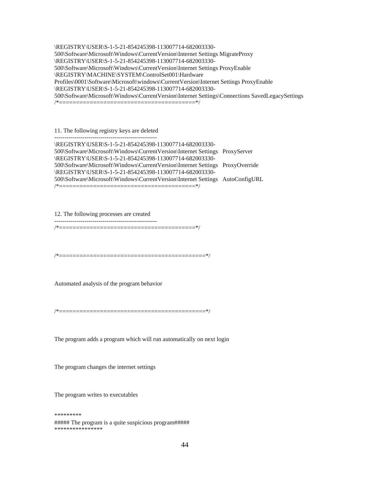\REGISTRY\USER\S-1-5-21-854245398-113007714-682003330- 500\Software\Microsoft\Windows\CurrentVersion\Internet Settings MigrateProxy \REGISTRY\USER\S-1-5-21-854245398-113007714-682003330- 500\Software\Microsoft\Windows\CurrentVersion\Internet Settings ProxyEnable \REGISTRY\MACHINE\SYSTEM\ControlSet001\Hardware Profiles\0001\Software\Microsoft\windows\CurrentVersion\Internet Settings ProxyEnable \REGISTRY\USER\S-1-5-21-854245398-113007714-682003330- 500\Software\Microsoft\Windows\CurrentVersion\Internet Settings\Connections SavedLegacySettings /\*========================================\*/

#### 11. The following registry keys are deleted ---------------------------------------------------

\REGISTRY\USER\S-1-5-21-854245398-113007714-682003330- 500\Software\Microsoft\Windows\CurrentVersion\Internet Settings ProxyServer \REGISTRY\USER\S-1-5-21-854245398-113007714-682003330- 500\Software\Microsoft\Windows\CurrentVersion\Internet Settings ProxyOverride \REGISTRY\USER\S-1-5-21-854245398-113007714-682003330- 500\Software\Microsoft\Windows\CurrentVersion\Internet Settings AutoConfigURL /\*========================================\*/

12. The following processes are created ---------------------------------------------------

/\*========================================\*/

/\*===========================================\*/

Automated analysis of the program behavior

/\*===========================================\*/

The program adds a program which will run automatically on next login

The program changes the internet settings

The program writes to executables

\*\*\*\*\*\*\*\*\* ##### The program is a quite suspicious program##### \*\*\*\*\*\*\*\*\*\*\*\*\*\*\*\*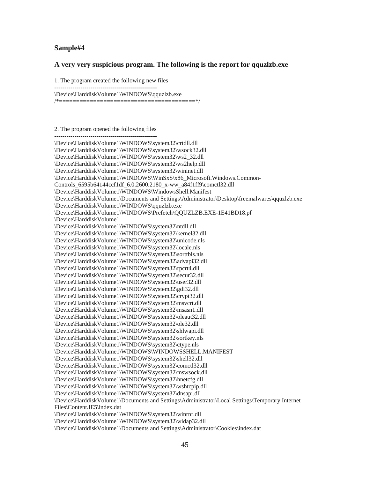#### **Sample#4**

#### **A very very suspicious program. The following is the report for qquzlzb.exe**

1. The program created the following new files

--------------------------------------------------- \Device\HarddiskVolume1\WINDOWS\qquzlzb.exe

/\*========================================\*/

2. The program opened the following files

--------------------------------------------------- \Device\HarddiskVolume1\WINDOWS\system32\crtdll.dll \Device\HarddiskVolume1\WINDOWS\system32\wsock32.dll \Device\HarddiskVolume1\WINDOWS\system32\ws2\_32.dll \Device\HarddiskVolume1\WINDOWS\system32\ws2help.dll \Device\HarddiskVolume1\WINDOWS\system32\wininet.dll \Device\HarddiskVolume1\WINDOWS\WinSxS\x86\_Microsoft.Windows.Common-Controls\_6595b64144ccf1df\_6.0.2600.2180\_x-ww\_a84f1ff9\comctl32.dll \Device\HarddiskVolume1\WINDOWS\WindowsShell.Manifest \Device\HarddiskVolume1\Documents and Settings\Administrator\Desktop\freemalwares\qquzlzb.exe \Device\HarddiskVolume1\WINDOWS\qquzlzb.exe \Device\HarddiskVolume1\WINDOWS\Prefetch\QQUZLZB.EXE-1E41BD18.pf \Device\HarddiskVolume1 \Device\HarddiskVolume1\WINDOWS\system32\ntdll.dll \Device\HarddiskVolume1\WINDOWS\system32\kernel32.dll \Device\HarddiskVolume1\WINDOWS\system32\unicode.nls \Device\HarddiskVolume1\WINDOWS\system32\locale.nls \Device\HarddiskVolume1\WINDOWS\system32\sorttbls.nls \Device\HarddiskVolume1\WINDOWS\system32\advapi32.dll \Device\HarddiskVolume1\WINDOWS\system32\rpcrt4.dll \Device\HarddiskVolume1\WINDOWS\system32\secur32.dll \Device\HarddiskVolume1\WINDOWS\system32\user32.dll \Device\HarddiskVolume1\WINDOWS\system32\gdi32.dll \Device\HarddiskVolume1\WINDOWS\system32\crypt32.dll \Device\HarddiskVolume1\WINDOWS\system32\msvcrt.dll \Device\HarddiskVolume1\WINDOWS\system32\msasn1.dll \Device\HarddiskVolume1\WINDOWS\system32\oleaut32.dll \Device\HarddiskVolume1\WINDOWS\system32\ole32.dll \Device\HarddiskVolume1\WINDOWS\system32\shlwapi.dll \Device\HarddiskVolume1\WINDOWS\system32\sortkey.nls \Device\HarddiskVolume1\WINDOWS\system32\ctype.nls \Device\HarddiskVolume1\WINDOWS\WINDOWSSHELL.MANIFEST \Device\HarddiskVolume1\WINDOWS\system32\shell32.dll \Device\HarddiskVolume1\WINDOWS\system32\comctl32.dll \Device\HarddiskVolume1\WINDOWS\system32\mswsock.dll \Device\HarddiskVolume1\WINDOWS\system32\hnetcfg.dll \Device\HarddiskVolume1\WINDOWS\system32\wshtcpip.dll \Device\HarddiskVolume1\WINDOWS\system32\dnsapi.dll \Device\HarddiskVolume1\Documents and Settings\Administrator\Local Settings\Temporary Internet Files\Content.IE5\index.dat \Device\HarddiskVolume1\WINDOWS\system32\winrnr.dll \Device\HarddiskVolume1\WINDOWS\system32\wldap32.dll \Device\HarddiskVolume1\Documents and Settings\Administrator\Cookies\index.dat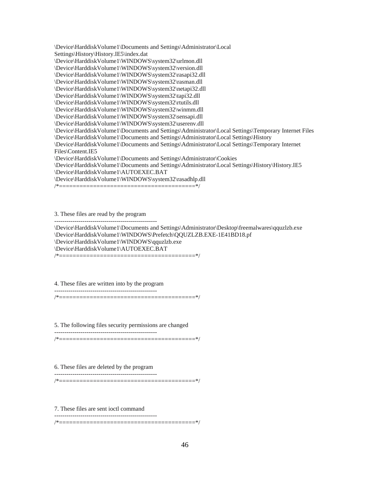\Device\HarddiskVolume1\Documents and Settings\Administrator\Local Settings\History\History.IE5\index.dat \Device\HarddiskVolume1\WINDOWS\system32\urlmon.dll \Device\HarddiskVolume1\WINDOWS\system32\version.dll \Device\HarddiskVolume1\WINDOWS\system32\rasapi32.dll \Device\HarddiskVolume1\WINDOWS\system32\rasman.dll \Device\HarddiskVolume1\WINDOWS\system32\netapi32.dll \Device\HarddiskVolume1\WINDOWS\system32\tapi32.dll \Device\HarddiskVolume1\WINDOWS\system32\rtutils.dll \Device\HarddiskVolume1\WINDOWS\system32\winmm.dll \Device\HarddiskVolume1\WINDOWS\system32\sensapi.dll \Device\HarddiskVolume1\WINDOWS\system32\userenv.dll \Device\HarddiskVolume1\Documents and Settings\Administrator\Local Settings\Temporary Internet Files \Device\HarddiskVolume1\Documents and Settings\Administrator\Local Settings\History \Device\HarddiskVolume1\Documents and Settings\Administrator\Local Settings\Temporary Internet Files\Content.IE5 \Device\HarddiskVolume1\Documents and Settings\Administrator\Cookies \Device\HarddiskVolume1\Documents and Settings\Administrator\Local Settings\History\History.IE5 \Device\HarddiskVolume1\AUTOEXEC.BAT \Device\HarddiskVolume1\WINDOWS\system32\rasadhlp.dll

/\*========================================\*/

3. These files are read by the program

---------------------------------------------------

\Device\HarddiskVolume1\Documents and Settings\Administrator\Desktop\freemalwares\qquzlzb.exe \Device\HarddiskVolume1\WINDOWS\Prefetch\QQUZLZB.EXE-1E41BD18.pf \Device\HarddiskVolume1\WINDOWS\qquzlzb.exe \Device\HarddiskVolume1\AUTOEXEC.BAT /\*========================================\*/

4. These files are written into by the program

---------------------------------------------------

/\*========================================\*/

5. The following files security permissions are changed

--------------------------------------------------- /\*========================================\*/

6. These files are deleted by the program

--------------------------------------------------- /\*========================================\*/

7. These files are sent ioctl command

---------------------------------------------------

/\*========================================\*/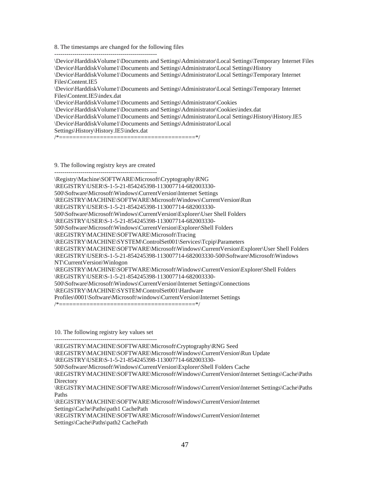8. The timestamps are changed for the following files

---------------------------------------------------

\Device\HarddiskVolume1\Documents and Settings\Administrator\Local Settings\Temporary Internet Files \Device\HarddiskVolume1\Documents and Settings\Administrator\Local Settings\History

\Device\HarddiskVolume1\Documents and Settings\Administrator\Local Settings\Temporary Internet Files\Content.IE5

\Device\HarddiskVolume1\Documents and Settings\Administrator\Local Settings\Temporary Internet Files\Content.IE5\index.dat

\Device\HarddiskVolume1\Documents and Settings\Administrator\Cookies

\Device\HarddiskVolume1\Documents and Settings\Administrator\Cookies\index.dat

\Device\HarddiskVolume1\Documents and Settings\Administrator\Local Settings\History\History.IE5

\Device\HarddiskVolume1\Documents and Settings\Administrator\Local

Settings\History\History.IE5\index.dat

/\*========================================\*/

9. The following registry keys are created

---------------------------------------------------

\Registry\Machine\SOFTWARE\Microsoft\Cryptography\RNG \REGISTRY\USER\S-1-5-21-854245398-113007714-682003330- 500\Software\Microsoft\Windows\CurrentVersion\Internet Settings \REGISTRY\MACHINE\SOFTWARE\Microsoft\Windows\CurrentVersion\Run \REGISTRY\USER\S-1-5-21-854245398-113007714-682003330- 500\Software\Microsoft\Windows\CurrentVersion\Explorer\User Shell Folders \REGISTRY\USER\S-1-5-21-854245398-113007714-682003330- 500\Software\Microsoft\Windows\CurrentVersion\Explorer\Shell Folders \REGISTRY\MACHINE\SOFTWARE\Microsoft\Tracing \REGISTRY\MACHINE\SYSTEM\ControlSet001\Services\Tcpip\Parameters \REGISTRY\MACHINE\SOFTWARE\Microsoft\Windows\CurrentVersion\Explorer\User Shell Folders \REGISTRY\USER\S-1-5-21-854245398-113007714-682003330-500\Software\Microsoft\Windows NT\CurrentVersion\Winlogon \REGISTRY\MACHINE\SOFTWARE\Microsoft\Windows\CurrentVersion\Explorer\Shell Folders \REGISTRY\USER\S-1-5-21-854245398-113007714-682003330- 500\Software\Microsoft\Windows\CurrentVersion\Internet Settings\Connections \REGISTRY\MACHINE\SYSTEM\ControlSet001\Hardware Profiles\0001\Software\Microsoft\windows\CurrentVersion\Internet Settings /\*========================================\*/

10. The following registry key values set

---------------------------------------------------

\REGISTRY\MACHINE\SOFTWARE\Microsoft\Cryptography\RNG Seed \REGISTRY\MACHINE\SOFTWARE\Microsoft\Windows\CurrentVersion\Run Update \REGISTRY\USER\S-1-5-21-854245398-113007714-682003330-

500\Software\Microsoft\Windows\CurrentVersion\Explorer\Shell Folders Cache

\REGISTRY\MACHINE\SOFTWARE\Microsoft\Windows\CurrentVersion\Internet Settings\Cache\Paths **Directory** 

\REGISTRY\MACHINE\SOFTWARE\Microsoft\Windows\CurrentVersion\Internet Settings\Cache\Paths Paths

\REGISTRY\MACHINE\SOFTWARE\Microsoft\Windows\CurrentVersion\Internet Settings\Cache\Paths\path1 CachePath

\REGISTRY\MACHINE\SOFTWARE\Microsoft\Windows\CurrentVersion\Internet Settings\Cache\Paths\path2 CachePath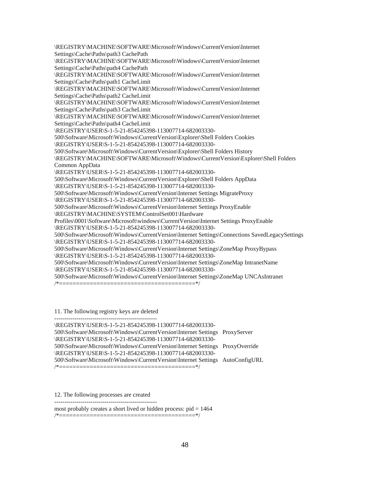\REGISTRY\MACHINE\SOFTWARE\Microsoft\Windows\CurrentVersion\Internet Settings\Cache\Paths\path3 CachePath \REGISTRY\MACHINE\SOFTWARE\Microsoft\Windows\CurrentVersion\Internet Settings\Cache\Paths\path4 CachePath \REGISTRY\MACHINE\SOFTWARE\Microsoft\Windows\CurrentVersion\Internet Settings\Cache\Paths\path1 CacheLimit \REGISTRY\MACHINE\SOFTWARE\Microsoft\Windows\CurrentVersion\Internet Settings\Cache\Paths\path2 CacheLimit \REGISTRY\MACHINE\SOFTWARE\Microsoft\Windows\CurrentVersion\Internet Settings\Cache\Paths\path3 CacheLimit \REGISTRY\MACHINE\SOFTWARE\Microsoft\Windows\CurrentVersion\Internet Settings\Cache\Paths\path4 CacheLimit \REGISTRY\USER\S-1-5-21-854245398-113007714-682003330- 500\Software\Microsoft\Windows\CurrentVersion\Explorer\Shell Folders Cookies \REGISTRY\USER\S-1-5-21-854245398-113007714-682003330- 500\Software\Microsoft\Windows\CurrentVersion\Explorer\Shell Folders History \REGISTRY\MACHINE\SOFTWARE\Microsoft\Windows\CurrentVersion\Explorer\Shell Folders Common AppData \REGISTRY\USER\S-1-5-21-854245398-113007714-682003330- 500\Software\Microsoft\Windows\CurrentVersion\Explorer\Shell Folders AppData \REGISTRY\USER\S-1-5-21-854245398-113007714-682003330- 500\Software\Microsoft\Windows\CurrentVersion\Internet Settings MigrateProxy \REGISTRY\USER\S-1-5-21-854245398-113007714-682003330- 500\Software\Microsoft\Windows\CurrentVersion\Internet Settings ProxyEnable \REGISTRY\MACHINE\SYSTEM\ControlSet001\Hardware Profiles\0001\Software\Microsoft\windows\CurrentVersion\Internet Settings ProxyEnable \REGISTRY\USER\S-1-5-21-854245398-113007714-682003330- 500\Software\Microsoft\Windows\CurrentVersion\Internet Settings\Connections SavedLegacySettings \REGISTRY\USER\S-1-5-21-854245398-113007714-682003330- 500\Software\Microsoft\Windows\CurrentVersion\Internet Settings\ZoneMap ProxyBypass \REGISTRY\USER\S-1-5-21-854245398-113007714-682003330- 500\Software\Microsoft\Windows\CurrentVersion\Internet Settings\ZoneMap IntranetName \REGISTRY\USER\S-1-5-21-854245398-113007714-682003330- 500\Software\Microsoft\Windows\CurrentVersion\Internet Settings\ZoneMap UNCAsIntranet /\*========================================\*/

#### 11. The following registry keys are deleted ---------------------------------------------------

\REGISTRY\USER\S-1-5-21-854245398-113007714-682003330- 500\Software\Microsoft\Windows\CurrentVersion\Internet Settings ProxyServer \REGISTRY\USER\S-1-5-21-854245398-113007714-682003330- 500\Software\Microsoft\Windows\CurrentVersion\Internet Settings ProxyOverride \REGISTRY\USER\S-1-5-21-854245398-113007714-682003330- 500\Software\Microsoft\Windows\CurrentVersion\Internet Settings AutoConfigURL /\*========================================\*/

12. The following processes are created

---------------------------------------------------

most probably creates a short lived or hidden process: pid = 1464

/\*========================================\*/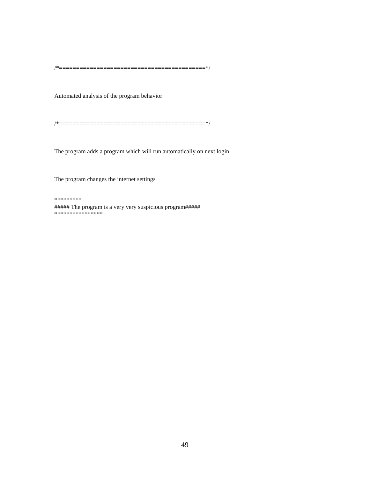/\*===========================================\*/

Automated analysis of the program behavior

/\*===========================================\*/

The program adds a program which will run automatically on next login

The program changes the internet settings

\*\*\*\*\*\*\*\*\*

##### The program is a very very suspicious program##### \*\*\*\*\*\*\*\*\*\*\*\*\*\*\*\*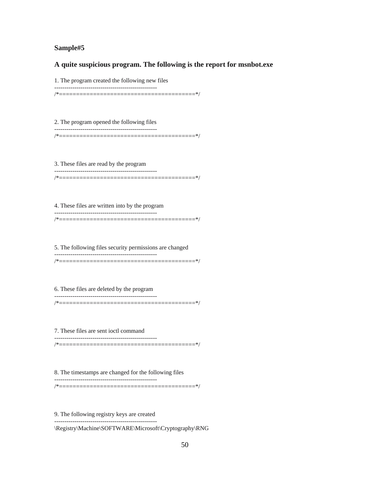#### **Sample#5**

**A quite suspicious program. The following is the report for msnbot.exe** 

1. The program created the following new files

---------------------------------------------------

/\*========================================\*/

2. The program opened the following files --------------------------------------------------- /\*========================================\*/

3. These files are read by the program --------------------------------------------------- /\*========================================\*/

4. These files are written into by the program --------------------------------------------------- /\*========================================\*/

5. The following files security permissions are changed --------------------------------------------------- /\*========================================\*/

6. These files are deleted by the program ---------------------------------------------------

/\*========================================\*/

7. These files are sent ioctl command

---------------------------------------------------

/\*========================================\*/

8. The timestamps are changed for the following files ---------------------------------------------------

/\*========================================\*/

9. The following registry keys are created ---------------------------------------------------

\Registry\Machine\SOFTWARE\Microsoft\Cryptography\RNG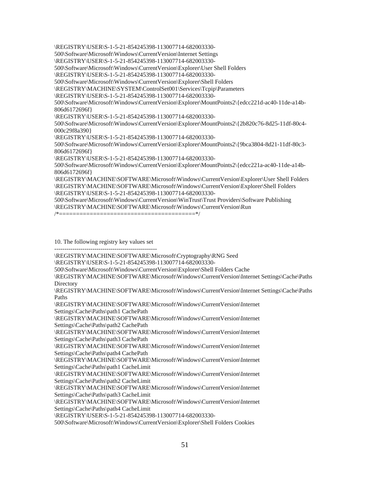\REGISTRY\USER\S-1-5-21-854245398-113007714-682003330- 500\Software\Microsoft\Windows\CurrentVersion\Internet Settings \REGISTRY\USER\S-1-5-21-854245398-113007714-682003330- 500\Software\Microsoft\Windows\CurrentVersion\Explorer\User Shell Folders \REGISTRY\USER\S-1-5-21-854245398-113007714-682003330- 500\Software\Microsoft\Windows\CurrentVersion\Explorer\Shell Folders \REGISTRY\MACHINE\SYSTEM\ControlSet001\Services\Tcpip\Parameters \REGISTRY\USER\S-1-5-21-854245398-113007714-682003330- 500\Software\Microsoft\Windows\CurrentVersion\Explorer\MountPoints2\{edcc221d-ac40-11de-a14b-806d6172696f} \REGISTRY\USER\S-1-5-21-854245398-113007714-682003330- 500\Software\Microsoft\Windows\CurrentVersion\Explorer\MountPoints2\{2b820c76-8d25-11df-80c4- 000c29f8a390} \REGISTRY\USER\S-1-5-21-854245398-113007714-682003330- 500\Software\Microsoft\Windows\CurrentVersion\Explorer\MountPoints2\{9bca3804-8d21-11df-80c3- 806d6172696f} \REGISTRY\USER\S-1-5-21-854245398-113007714-682003330- 500\Software\Microsoft\Windows\CurrentVersion\Explorer\MountPoints2\{edcc221a-ac40-11de-a14b-806d6172696f} \REGISTRY\MACHINE\SOFTWARE\Microsoft\Windows\CurrentVersion\Explorer\User Shell Folders \REGISTRY\MACHINE\SOFTWARE\Microsoft\Windows\CurrentVersion\Explorer\Shell Folders \REGISTRY\USER\S-1-5-21-854245398-113007714-682003330- 500\Software\Microsoft\Windows\CurrentVersion\WinTrust\Trust Providers\Software Publishing \REGISTRY\MACHINE\SOFTWARE\Microsoft\Windows\CurrentVersion\Run /\*========================================\*/

10. The following registry key values set ---------------------------------------------------

\REGISTRY\MACHINE\SOFTWARE\Microsoft\Cryptography\RNG Seed

\REGISTRY\USER\S-1-5-21-854245398-113007714-682003330-

500\Software\Microsoft\Windows\CurrentVersion\Explorer\Shell Folders Cache

\REGISTRY\MACHINE\SOFTWARE\Microsoft\Windows\CurrentVersion\Internet Settings\Cache\Paths **Directory** 

\REGISTRY\MACHINE\SOFTWARE\Microsoft\Windows\CurrentVersion\Internet Settings\Cache\Paths Paths

\REGISTRY\MACHINE\SOFTWARE\Microsoft\Windows\CurrentVersion\Internet Settings\Cache\Paths\path1 CachePath

\REGISTRY\MACHINE\SOFTWARE\Microsoft\Windows\CurrentVersion\Internet Settings\Cache\Paths\path2 CachePath

\REGISTRY\MACHINE\SOFTWARE\Microsoft\Windows\CurrentVersion\Internet Settings\Cache\Paths\path3 CachePath

\REGISTRY\MACHINE\SOFTWARE\Microsoft\Windows\CurrentVersion\Internet Settings\Cache\Paths\path4 CachePath

\REGISTRY\MACHINE\SOFTWARE\Microsoft\Windows\CurrentVersion\Internet Settings\Cache\Paths\path1 CacheLimit

\REGISTRY\MACHINE\SOFTWARE\Microsoft\Windows\CurrentVersion\Internet Settings\Cache\Paths\path2 CacheLimit

\REGISTRY\MACHINE\SOFTWARE\Microsoft\Windows\CurrentVersion\Internet Settings\Cache\Paths\path3 CacheLimit

\REGISTRY\MACHINE\SOFTWARE\Microsoft\Windows\CurrentVersion\Internet Settings\Cache\Paths\path4 CacheLimit

\REGISTRY\USER\S-1-5-21-854245398-113007714-682003330-

500\Software\Microsoft\Windows\CurrentVersion\Explorer\Shell Folders Cookies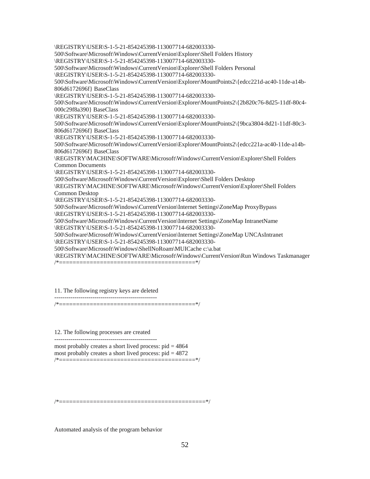\REGISTRY\USER\S-1-5-21-854245398-113007714-682003330- 500\Software\Microsoft\Windows\CurrentVersion\Explorer\Shell Folders History \REGISTRY\USER\S-1-5-21-854245398-113007714-682003330- 500\Software\Microsoft\Windows\CurrentVersion\Explorer\Shell Folders Personal \REGISTRY\USER\S-1-5-21-854245398-113007714-682003330- 500\Software\Microsoft\Windows\CurrentVersion\Explorer\MountPoints2\{edcc221d-ac40-11de-a14b-806d6172696f} BaseClass \REGISTRY\USER\S-1-5-21-854245398-113007714-682003330- 500\Software\Microsoft\Windows\CurrentVersion\Explorer\MountPoints2\{2b820c76-8d25-11df-80c4- 000c29f8a390} BaseClass \REGISTRY\USER\S-1-5-21-854245398-113007714-682003330- 500\Software\Microsoft\Windows\CurrentVersion\Explorer\MountPoints2\{9bca3804-8d21-11df-80c3- 806d6172696f} BaseClass \REGISTRY\USER\S-1-5-21-854245398-113007714-682003330- 500\Software\Microsoft\Windows\CurrentVersion\Explorer\MountPoints2\{edcc221a-ac40-11de-a14b-806d6172696f} BaseClass \REGISTRY\MACHINE\SOFTWARE\Microsoft\Windows\CurrentVersion\Explorer\Shell Folders Common Documents \REGISTRY\USER\S-1-5-21-854245398-113007714-682003330- 500\Software\Microsoft\Windows\CurrentVersion\Explorer\Shell Folders Desktop \REGISTRY\MACHINE\SOFTWARE\Microsoft\Windows\CurrentVersion\Explorer\Shell Folders Common Desktop \REGISTRY\USER\S-1-5-21-854245398-113007714-682003330- 500\Software\Microsoft\Windows\CurrentVersion\Internet Settings\ZoneMap ProxyBypass \REGISTRY\USER\S-1-5-21-854245398-113007714-682003330- 500\Software\Microsoft\Windows\CurrentVersion\Internet Settings\ZoneMap IntranetName \REGISTRY\USER\S-1-5-21-854245398-113007714-682003330- 500\Software\Microsoft\Windows\CurrentVersion\Internet Settings\ZoneMap UNCAsIntranet \REGISTRY\USER\S-1-5-21-854245398-113007714-682003330- 500\Software\Microsoft\Windows\ShellNoRoam\MUICache c:\a.bat \REGISTRY\MACHINE\SOFTWARE\Microsoft\Windows\CurrentVersion\Run Windows Taskmanager /\*========================================\*/

#### 11. The following registry keys are deleted

--------------------------------------------------- /\*========================================\*/

12. The following processes are created

---------------------------------------------------

most probably creates a short lived process:  $pid = 4864$ most probably creates a short lived process:  $pid = 4872$ /\*========================================\*/

/\*===========================================\*/

Automated analysis of the program behavior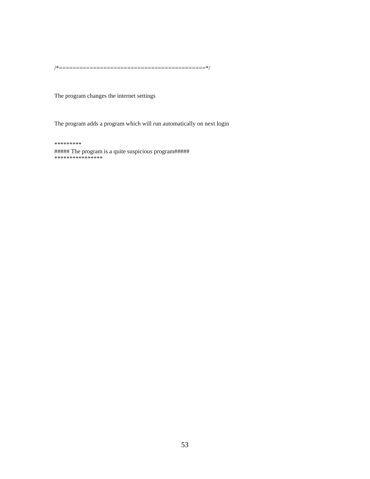/\*===========================================\*/

The program changes the internet settings

The program adds a program which will run automatically on next login

\*\*\*\*\*\*\*\*\* ##### The program is a quite suspicious program##### \*\*\*\*\*\*\*\*\*\*\*\*\*\*\*\*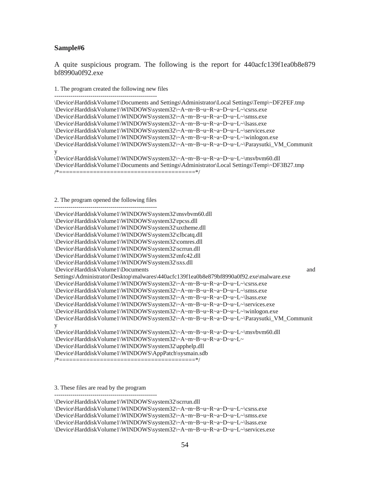#### **Sample#6**

A quite suspicious program. The following is the report for 440acfc139f1ea0b8e879 bf8990a0f92.exe

#### 1. The program created the following new files

--------------------------------------------------- \Device\HarddiskVolume1\Documents and Settings\Administrator\Local Settings\Temp\~DF2FEF.tmp \Device\HarddiskVolume1\WINDOWS\system32\~A~m~B~u~R~a~D~u~L~\csrss.exe \Device\HarddiskVolume1\WINDOWS\system32\~A~m~B~u~R~a~D~u~L~\smss.exe \Device\HarddiskVolume1\WINDOWS\system32\~A~m~B~u~R~a~D~u~L~\lsass.exe \Device\HarddiskVolume1\WINDOWS\system32\~A~m~B~u~R~a~D~u~L~\services.exe \Device\HarddiskVolume1\WINDOWS\system32\~A~m~B~u~R~a~D~u~L~\winlogon.exe \Device\HarddiskVolume1\WINDOWS\system32\~A~m~B~u~R~a~D~u~L~\Paraysutki\_VM\_Communit y \Device\HarddiskVolume1\WINDOWS\system32\~A~m~B~u~R~a~D~u~L~\msvbvm60.dll \Device\HarddiskVolume1\Documents and Settings\Administrator\Local Settings\Temp\~DF3B27.tmp /\*========================================\*/

#### 2. The program opened the following files

| \Device\HarddiskVolume1\WINDOWS\system32\msvbvm60.dll                                    |
|------------------------------------------------------------------------------------------|
| \Device\HarddiskVolume1\WINDOWS\system32\rpcss.dll                                       |
| \Device\HarddiskVolume1\WINDOWS\system32\uxtheme.dll                                     |
| \Device\HarddiskVolume1\WINDOWS\system32\clbcatq.dll                                     |
| \Device\HarddiskVolume1\WINDOWS\system32\comres.dll                                      |
| \Device\HarddiskVolume1\WINDOWS\system32\scrrun.dll                                      |
| \Device\HarddiskVolume1\WINDOWS\system32\mfc42.dll                                       |
| \Device\HarddiskVolume1\WINDOWS\system32\sxs.dll                                         |
| \Device\HarddiskVolume1\Documents<br>and                                                 |
| Settings\Administrator\Desktop\malwares\440acfc139f1ea0b8e879bf8990a0f92.exe\malware.exe |
| \Device\HarddiskVolume1\WINDOWS\system32\~A~m~B~u~R~a~D~u~L~\csrss.exe                   |
| \Device\HarddiskVolume1\WINDOWS\system32\~A~m~B~u~R~a~D~u~L~\smss.exe                    |
| \Device\HarddiskVolume1\WINDOWS\system32\~A~m~B~u~R~a~D~u~L~\Isass.exe                   |
| \Device\HarddiskVolume1\WINDOWS\system32\~A~m~B~u~R~a~D~u~L~\services.exe                |
| \Device\HarddiskVolume1\WINDOWS\system32\~A~m~B~u~R~a~D~u~L~\winlogon.exe                |
| \Device\HarddiskVolume1\WINDOWS\system32\~A~m~B~u~R~a~D~u~L~\Paraysutki_VM_Communit      |
| у                                                                                        |
| \Device\HarddiskVolume1\WINDOWS\system32\~A~m~B~u~R~a~D~u~L~\msvbvm60.dll                |
| \Device\HarddiskVolume1\WINDOWS\system32\~A~m~B~u~R~a~D~u~L~                             |
| \Device\HarddiskVolume1\WINDOWS\system32\apphelp.dll                                     |
| \Device\HarddiskVolume1\WINDOWS\AppPatch\sysmain.sdb                                     |
|                                                                                          |

3. These files are read by the program ---------------------------------------------------

\Device\HarddiskVolume1\WINDOWS\system32\scrrun.dll \Device\HarddiskVolume1\WINDOWS\system32\~A~m~B~u~R~a~D~u~L~\csrss.exe \Device\HarddiskVolume1\WINDOWS\system32\~A~m~B~u~R~a~D~u~L~\smss.exe \Device\HarddiskVolume1\WINDOWS\system32\~A~m~B~u~R~a~D~u~L~\lsass.exe \Device\HarddiskVolume1\WINDOWS\system32\~A~m~B~u~R~a~D~u~L~\services.exe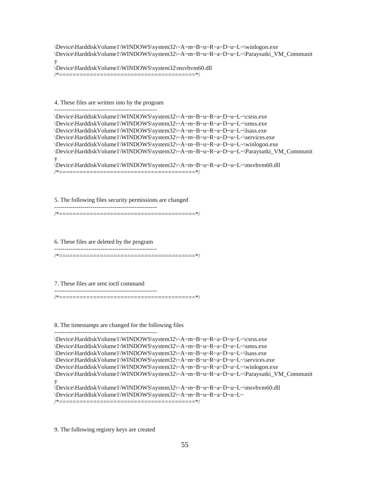\Device\HarddiskVolume1\WINDOWS\system32\~A~m~B~u~R~a~D~u~L~\winlogon.exe \Device\HarddiskVolume1\WINDOWS\system32\~A~m~B~u~R~a~D~u~L~\Paraysutki\_VM\_Communit y \Device\HarddiskVolume1\WINDOWS\system32\msvbvm60.dll /\*========================================\*/

4. These files are written into by the program ---------------------------------------------------

| \Device\HarddiskVolume1\WINDOWS\system32\~A~m~B~u~R~a~D~u~L~\csrss.exe              |
|-------------------------------------------------------------------------------------|
| \Device\HarddiskVolume1\WINDOWS\system32\~A~m~B~u~R~a~D~u~L~\smss.exe               |
| \Device\HarddiskVolume1\WINDOWS\system32\~A~m~B~u~R~a~D~u~L~\lsass.exe              |
| \Device\HarddiskVolume1\WINDOWS\system32\~A~m~B~u~R~a~D~u~L~\services.exe           |
| \Device\HarddiskVolume1\WINDOWS\system32\~A~m~B~u~R~a~D~u~L~\winlogon.exe           |
| \Device\HarddiskVolume1\WINDOWS\system32\~A~m~B~u~R~a~D~u~L~\Paraysutki_VM_Communit |
|                                                                                     |
| \Device\HarddiskVolume1\WINDOWS\system32\~A~m~B~u~R~a~D~u~L~\msvbvm60.dll           |
|                                                                                     |

5. The following files security permissions are changed ---------------------------------------------------

/\*========================================\*/

6. These files are deleted by the program

---------------------------------------------------

/\*========================================\*/

7. These files are sent ioctl command

--------------------------------------------------- /\*========================================\*/

8. The timestamps are changed for the following files

---------------------------------------------------

\Device\HarddiskVolume1\WINDOWS\system32\~A~m~B~u~R~a~D~u~L~\csrss.exe \Device\HarddiskVolume1\WINDOWS\system32\~A~m~B~u~R~a~D~u~L~\smss.exe \Device\HarddiskVolume1\WINDOWS\system32\~A~m~B~u~R~a~D~u~L~\lsass.exe \Device\HarddiskVolume1\WINDOWS\system32\~A~m~B~u~R~a~D~u~L~\services.exe \Device\HarddiskVolume1\WINDOWS\system32\~A~m~B~u~R~a~D~u~L~\winlogon.exe \Device\HarddiskVolume1\WINDOWS\system32\~A~m~B~u~R~a~D~u~L~\Paraysutki\_VM\_Communit y \Device\HarddiskVolume1\WINDOWS\system32\~A~m~B~u~R~a~D~u~L~\msvbvm60.dll \Device\HarddiskVolume1\WINDOWS\system32\~A~m~B~u~R~a~D~u~L~ /\*========================================\*/

9. The following registry keys are created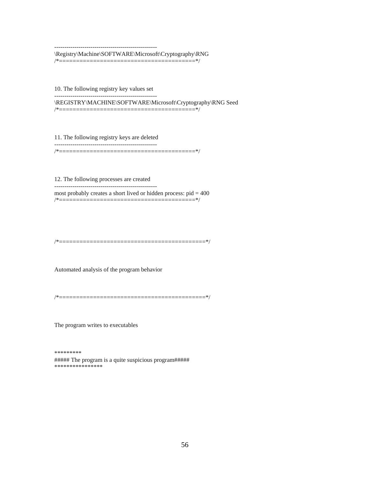---------------------------------------------------

\Registry\Machine\SOFTWARE\Microsoft\Cryptography\RNG

/\*========================================\*/

10. The following registry key values set ---------------------------------------------------

\REGISTRY\MACHINE\SOFTWARE\Microsoft\Cryptography\RNG Seed /\*========================================\*/

11. The following registry keys are deleted

--------------------------------------------------- /\*========================================\*/

12. The following processes are created ---------------------------------------------------

most probably creates a short lived or hidden process:  $pid = 400$ /\*========================================\*/

/\*===========================================\*/

Automated analysis of the program behavior

/\*===========================================\*/

The program writes to executables

\*\*\*\*\*\*\*\*\*

##### The program is a quite suspicious program##### \*\*\*\*\*\*\*\*\*\*\*\*\*\*\*\*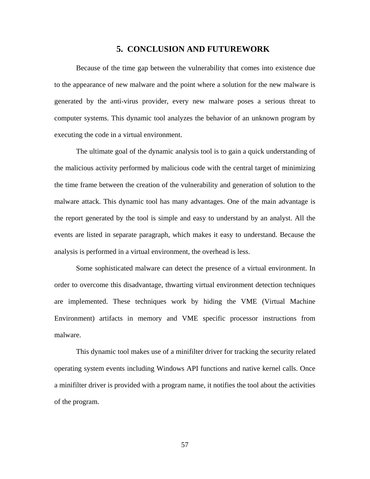## **5. CONCLUSION AND FUTUREWORK**

Because of the time gap between the vulnerability that comes into existence due to the appearance of new malware and the point where a solution for the new malware is generated by the anti-virus provider, every new malware poses a serious threat to computer systems. This dynamic tool analyzes the behavior of an unknown program by executing the code in a virtual environment.

The ultimate goal of the dynamic analysis tool is to gain a quick understanding of the malicious activity performed by malicious code with the central target of minimizing the time frame between the creation of the vulnerability and generation of solution to the malware attack. This dynamic tool has many advantages. One of the main advantage is the report generated by the tool is simple and easy to understand by an analyst. All the events are listed in separate paragraph, which makes it easy to understand. Because the analysis is performed in a virtual environment, the overhead is less.

Some sophisticated malware can detect the presence of a virtual environment. In order to overcome this disadvantage, thwarting virtual environment detection techniques are implemented. These techniques work by hiding the VME (Virtual Machine Environment) artifacts in memory and VME specific processor instructions from malware.

This dynamic tool makes use of a minifilter driver for tracking the security related operating system events including Windows API functions and native kernel calls. Once a minifilter driver is provided with a program name, it notifies the tool about the activities of the program.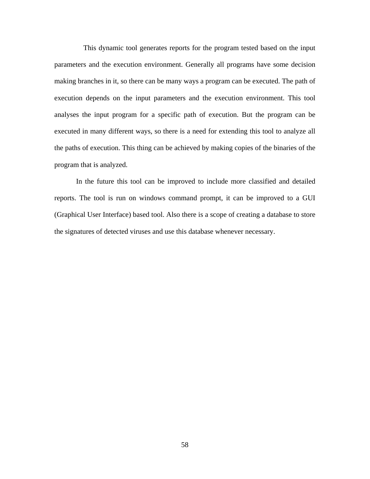This dynamic tool generates reports for the program tested based on the input parameters and the execution environment. Generally all programs have some decision making branches in it, so there can be many ways a program can be executed. The path of execution depends on the input parameters and the execution environment. This tool analyses the input program for a specific path of execution. But the program can be executed in many different ways, so there is a need for extending this tool to analyze all the paths of execution. This thing can be achieved by making copies of the binaries of the program that is analyzed.

In the future this tool can be improved to include more classified and detailed reports. The tool is run on windows command prompt, it can be improved to a GUI (Graphical User Interface) based tool. Also there is a scope of creating a database to store the signatures of detected viruses and use this database whenever necessary.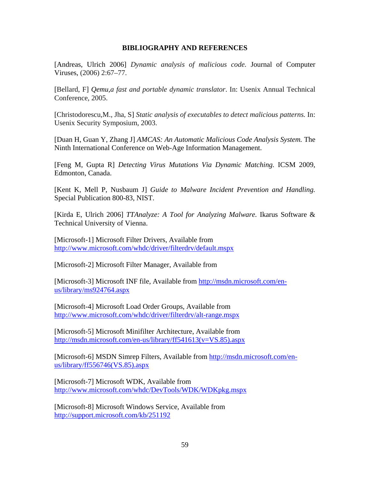#### **BIBLIOGRAPHY AND REFERENCES**

[Andreas, Ulrich 2006] *Dynamic analysis of malicious code.* Journal of Computer Viruses, (2006) 2:67–77.

[Bellard, F] *Qemu,a fast and portable dynamic translator*. In: Usenix Annual Technical Conference, 2005.

[Christodorescu,M., Jha, S] *Static analysis of executables to detect malicious patterns.* In: Usenix Security Symposium, 2003.

[Duan H, Guan Y, Zhang J] *AMCAS: An Automatic Malicious Code Analysis System.* The Ninth International Conference on Web-Age Information Management.

[Feng M, Gupta R] *Detecting Virus Mutations Via Dynamic Matching.* ICSM 2009, Edmonton, Canada.

[Kent K, Mell P, Nusbaum J] *Guide to Malware Incident Prevention and Handling.*  Special Publication 800-83, NIST.

[Kirda E, Ulrich 2006] *TTAnalyze: A Tool for Analyzing Malware.* Ikarus Software & Technical University of Vienna.

[Microsoft-1] Microsoft Filter Drivers, Available from http://www.microsoft.com/whdc/driver/filterdrv/default.mspx

[Microsoft-2] Microsoft Filter Manager, Available from

[Microsoft-3] Microsoft INF file, Available from http://msdn.microsoft.com/enus/library/ms924764.aspx

[Microsoft-4] Microsoft Load Order Groups, Available from http://www.microsoft.com/whdc/driver/filterdrv/alt-range.mspx

[Microsoft-5] Microsoft Minifilter Architecture, Available from http://msdn.microsoft.com/en-us/library/ff541613(v=VS.85).aspx

[Microsoft-6] MSDN Simrep Filters, Available from http://msdn.microsoft.com/enus/library/ff556746(VS.85).aspx

[Microsoft-7] Microsoft WDK, Available from http://www.microsoft.com/whdc/DevTools/WDK/WDKpkg.mspx

[Microsoft-8] Microsoft Windows Service, Available from http://support.microsoft.com/kb/251192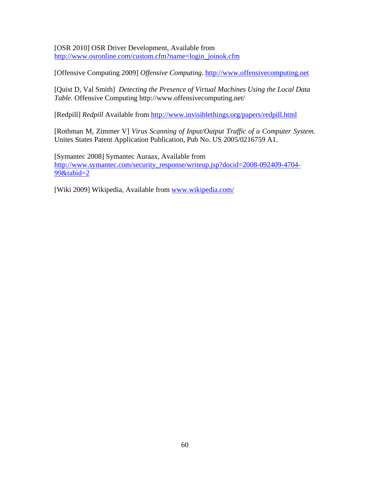[OSR 2010] OSR Driver Development, Available from http://www.osronline.com/custom.cfm?name=login\_joinok.cfm

[Offensive Computing 2009] *Offensive Computing*. http://www.offensivecomputing.net

[Quist D, Val Smith] *Detecting the Presence of Virtual Machines Using the Local Data Table.* Offensive Computing http://www.offensivecomputing.net/

[Redpill] *Redpill* Available from http://www.invisiblethings.org/papers/redpill.html

[Rothman M, Zimmer V] *Virus Scanning of Input/Output Traffic of a Computer System.*  Unites States Patent Application Publication, Pub No. US 2005/0216759 A1.

[Symantec 2008] Symantec Auraax, Available from http://www.symantec.com/security\_response/writeup.jsp?docid=2008-092409-4704-  $99\&$ tabid=2

[Wiki 2009] Wikipedia, Available from www.wikipedia.com/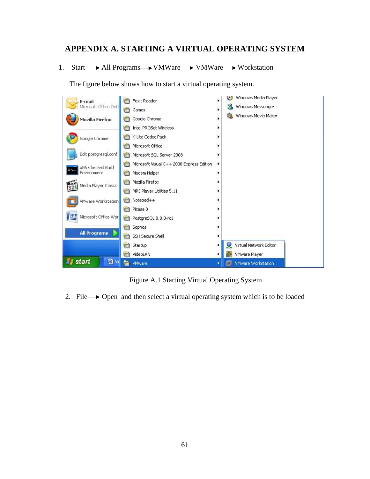# **APPENDIX A. STARTING A VIRTUAL OPERATING SYSTEM**

1. Start  $\longrightarrow$  All Programs  $\longrightarrow$  VMWare  $\longrightarrow$  VMWare  $\longrightarrow$  Workstation

The figure below shows how to start a virtual operating system.



Figure A.1 Starting Virtual Operating System

2. File  $\rightarrow$  Open and then select a virtual operating system which is to be loaded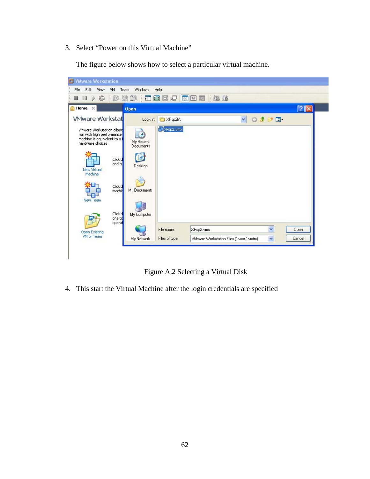3. Select "Power on this Virtual Machine"

The figure below shows how to select a particular virtual machine.



Figure A.2 Selecting a Virtual Disk

4. This start the Virtual Machine after the login credentials are specified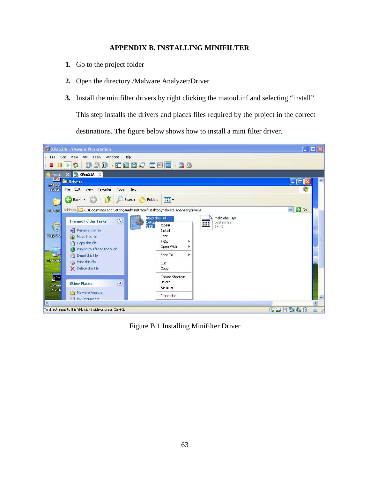# **APPENDIX B. INSTALLING MINIFILTER**

- **1.** Go to the project folder
- **2.** Open the directory /Malware Analyzer/Driver
- **3.** Install the minifilter drivers by right clicking the matool.inf and selecting "install"

This step installs the drivers and places files required by the project in the correct

destinations. The figure below shows how to install a mini filter driver.



Figure B.1 Installing Minifilter Driver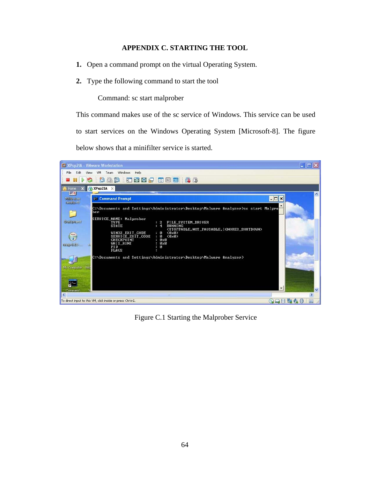## **APPENDIX C. STARTING THE TOOL**

- **1.** Open a command prompt on the virtual Operating System.
- **2.** Type the following command to start the tool

Command: sc start malprober

This command makes use of the sc service of Windows. This service can be used to start services on the Windows Operating System [Microsoft-8]. The figure below shows that a minifilter service is started.



Figure C.1 Starting the Malprober Service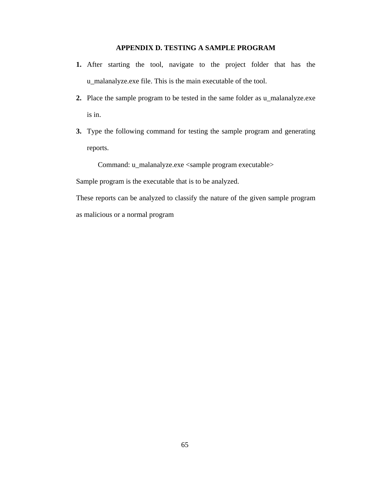# **APPENDIX D. TESTING A SAMPLE PROGRAM**

- **1.** After starting the tool, navigate to the project folder that has the u\_malanalyze.exe file. This is the main executable of the tool.
- **2.** Place the sample program to be tested in the same folder as u\_malanalyze.exe is in.
- **3.** Type the following command for testing the sample program and generating reports.

Command: u\_malanalyze.exe <sample program executable>

Sample program is the executable that is to be analyzed.

These reports can be analyzed to classify the nature of the given sample program as malicious or a normal program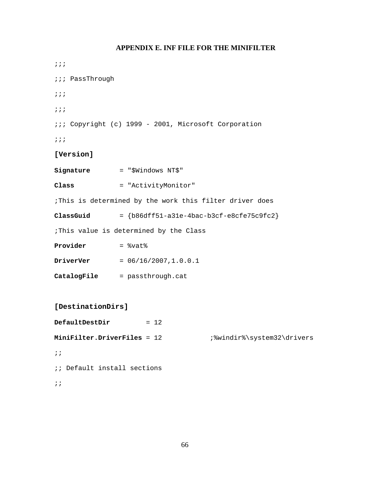# **APPENDIX E. INF FILE FOR THE MINIFILTER**

;;; ;;; PassThrough ;;; ;;; ;;; Copyright (c) 1999 - 2001, Microsoft Corporation ;;; **[Version] Signature** = "\$Windows NT\$" **Class** = "ActivityMonitor" ;This is determined by the work this filter driver does **ClassGuid** = {b86dff51-a31e-4bac-b3cf-e8cfe75c9fc2} ;This value is determined by the Class **Provider** =  $\text{8vat}$ **DriverVer** = 06/16/2007,1.0.0.1 **CatalogFile** = passthrough.cat **[DestinationDirs] DefaultDestDir** = 12 **MiniFilter.DriverFiles** = 12 ;%windir%\system32\drivers  $;$ ; ;; Default install sections ;;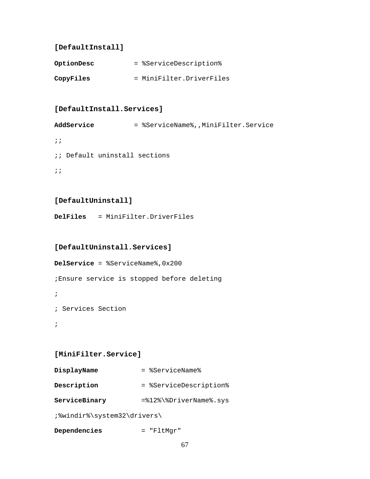## **[DefaultInstall]**

| OptionDesc | = %ServiceDescription%   |
|------------|--------------------------|
| CopyFiles  | = MiniFilter.DriverFiles |

### **[DefaultInstall.Services]**

AddService = %ServiceName%,,MiniFilter.Service  $;;$ ;; Default uninstall sections  $;;$ 

## **[DefaultUninstall]**

**DelFiles** = MiniFilter.DriverFiles

#### **[DefaultUninstall.Services]**

**DelService** = %ServiceName%,0x200 ;Ensure service is stopped before deleting ; ; Services Section ;

#### **[MiniFilter.Service]**

| DisplayName | = %ServiceName% |
|-------------|-----------------|
|             |                 |

**Description** = %ServiceDescription%

ServiceBinary =%12%\%DriverName%.sys

;%windir%\system32\drivers\

**Dependencies** = "FltMgr"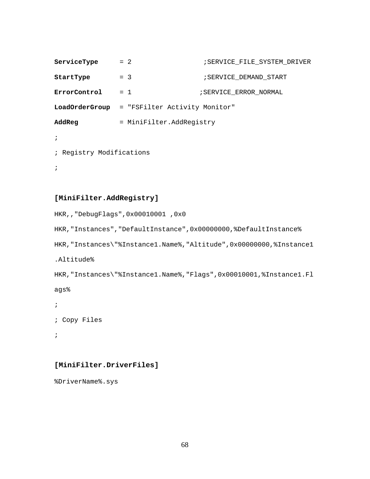```
ServiceType = 2 <br>
SERVICE_FILE_SYSTEM_DRIVER
StartType = 3 = 3 ;SERVICE_DEMAND_START
ErrorControl = 1 ;SERVICE_ERROR_NORMAL 
LoadOrderGroup = "FSFilter Activity Monitor" 
AddReg = MiniFilter.AddRegistry
; 
; Registry Modifications 
;
```
#### **[MiniFilter.AddRegistry]**

```
HKR,,"DebugFlags",0x00010001 ,0x0 
HKR,"Instances","DefaultInstance",0x00000000,%DefaultInstance% 
HKR,"Instances\"%Instance1.Name%,"Altitude",0x00000000,%Instance1
.Altitude% 
HKR,"Instances\"%Instance1.Name%,"Flags",0x00010001,%Instance1.Fl
ags% 
; 
; Copy Files
```

```
;
```
#### **[MiniFilter.DriverFiles]**

%DriverName%.sys